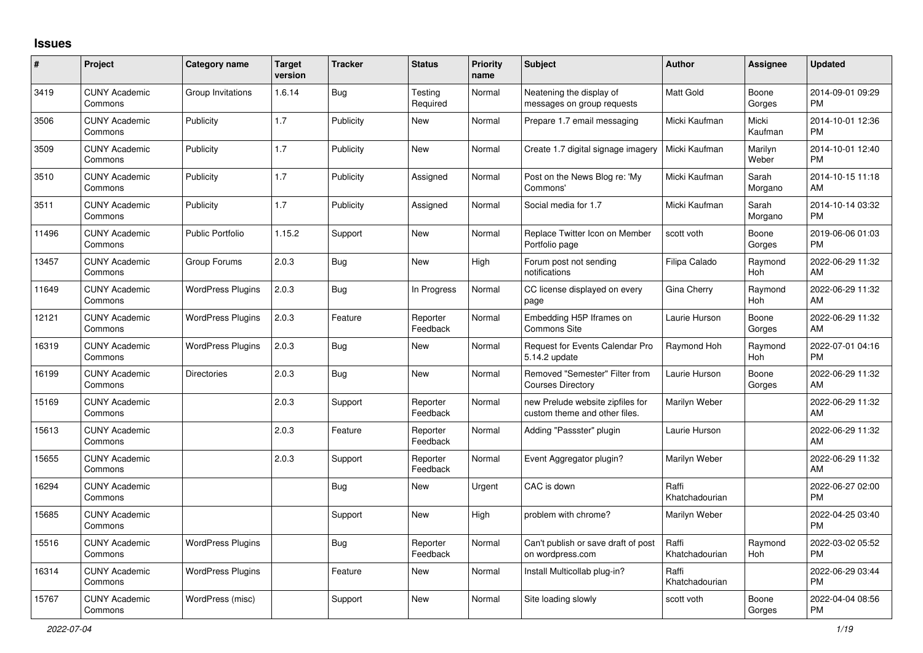## **Issues**

| $\vert$ # | Project                         | Category name            | <b>Target</b><br>version | <b>Tracker</b> | <b>Status</b>        | <b>Priority</b><br>name | <b>Subject</b>                                                    | <b>Author</b>           | Assignee         | <b>Updated</b>                |
|-----------|---------------------------------|--------------------------|--------------------------|----------------|----------------------|-------------------------|-------------------------------------------------------------------|-------------------------|------------------|-------------------------------|
| 3419      | <b>CUNY Academic</b><br>Commons | Group Invitations        | 1.6.14                   | <b>Bug</b>     | Testing<br>Required  | Normal                  | Neatening the display of<br>messages on group requests            | <b>Matt Gold</b>        | Boone<br>Gorges  | 2014-09-01 09:29<br><b>PM</b> |
| 3506      | <b>CUNY Academic</b><br>Commons | Publicity                | 1.7                      | Publicity      | New                  | Normal                  | Prepare 1.7 email messaging                                       | Micki Kaufman           | Micki<br>Kaufman | 2014-10-01 12:36<br><b>PM</b> |
| 3509      | <b>CUNY Academic</b><br>Commons | Publicity                | 1.7                      | Publicity      | New                  | Normal                  | Create 1.7 digital signage imagery                                | Micki Kaufman           | Marilyn<br>Weber | 2014-10-01 12:40<br><b>PM</b> |
| 3510      | <b>CUNY Academic</b><br>Commons | Publicity                | 1.7                      | Publicity      | Assigned             | Normal                  | Post on the News Blog re: 'My<br>Commons'                         | Micki Kaufman           | Sarah<br>Morgano | 2014-10-15 11:18<br>AM        |
| 3511      | <b>CUNY Academic</b><br>Commons | Publicity                | 1.7                      | Publicity      | Assigned             | Normal                  | Social media for 1.7                                              | Micki Kaufman           | Sarah<br>Morgano | 2014-10-14 03:32<br><b>PM</b> |
| 11496     | <b>CUNY Academic</b><br>Commons | <b>Public Portfolio</b>  | 1.15.2                   | Support        | New                  | Normal                  | Replace Twitter Icon on Member<br>Portfolio page                  | scott voth              | Boone<br>Gorges  | 2019-06-06 01:03<br><b>PM</b> |
| 13457     | <b>CUNY Academic</b><br>Commons | Group Forums             | 2.0.3                    | Bug            | <b>New</b>           | High                    | Forum post not sending<br>notifications                           | Filipa Calado           | Raymond<br>Hoh   | 2022-06-29 11:32<br>AM        |
| 11649     | <b>CUNY Academic</b><br>Commons | <b>WordPress Plugins</b> | 2.0.3                    | Bug            | In Progress          | Normal                  | CC license displayed on every<br>page                             | Gina Cherry             | Raymond<br>Hoh   | 2022-06-29 11:32<br>AM        |
| 12121     | <b>CUNY Academic</b><br>Commons | <b>WordPress Plugins</b> | 2.0.3                    | Feature        | Reporter<br>Feedback | Normal                  | Embedding H5P Iframes on<br><b>Commons Site</b>                   | Laurie Hurson           | Boone<br>Gorges  | 2022-06-29 11:32<br>AM        |
| 16319     | <b>CUNY Academic</b><br>Commons | <b>WordPress Plugins</b> | 2.0.3                    | <b>Bug</b>     | New                  | Normal                  | Request for Events Calendar Pro<br>5.14.2 update                  | Raymond Hoh             | Raymond<br>Hoh   | 2022-07-01 04:16<br><b>PM</b> |
| 16199     | <b>CUNY Academic</b><br>Commons | <b>Directories</b>       | 2.0.3                    | Bug            | New                  | Normal                  | Removed "Semester" Filter from<br><b>Courses Directory</b>        | Laurie Hurson           | Boone<br>Gorges  | 2022-06-29 11:32<br>AM        |
| 15169     | <b>CUNY Academic</b><br>Commons |                          | 2.0.3                    | Support        | Reporter<br>Feedback | Normal                  | new Prelude website zipfiles for<br>custom theme and other files. | Marilyn Weber           |                  | 2022-06-29 11:32<br>AM        |
| 15613     | <b>CUNY Academic</b><br>Commons |                          | 2.0.3                    | Feature        | Reporter<br>Feedback | Normal                  | Adding "Passster" plugin                                          | Laurie Hurson           |                  | 2022-06-29 11:32<br>AM        |
| 15655     | <b>CUNY Academic</b><br>Commons |                          | 2.0.3                    | Support        | Reporter<br>Feedback | Normal                  | Event Aggregator plugin?                                          | Marilyn Weber           |                  | 2022-06-29 11:32<br>AM        |
| 16294     | <b>CUNY Academic</b><br>Commons |                          |                          | <b>Bug</b>     | New                  | Urgent                  | CAC is down                                                       | Raffi<br>Khatchadourian |                  | 2022-06-27 02:00<br><b>PM</b> |
| 15685     | <b>CUNY Academic</b><br>Commons |                          |                          | Support        | New                  | High                    | problem with chrome?                                              | Marilyn Weber           |                  | 2022-04-25 03:40<br><b>PM</b> |
| 15516     | <b>CUNY Academic</b><br>Commons | <b>WordPress Plugins</b> |                          | <b>Bug</b>     | Reporter<br>Feedback | Normal                  | Can't publish or save draft of post<br>on wordpress.com           | Raffi<br>Khatchadourian | Raymond<br>Hoh   | 2022-03-02 05:52<br><b>PM</b> |
| 16314     | <b>CUNY Academic</b><br>Commons | <b>WordPress Plugins</b> |                          | Feature        | New                  | Normal                  | Install Multicollab plug-in?                                      | Raffi<br>Khatchadourian |                  | 2022-06-29 03:44<br><b>PM</b> |
| 15767     | <b>CUNY Academic</b><br>Commons | WordPress (misc)         |                          | Support        | <b>New</b>           | Normal                  | Site loading slowly                                               | scott voth              | Boone<br>Gorges  | 2022-04-04 08:56<br>PM        |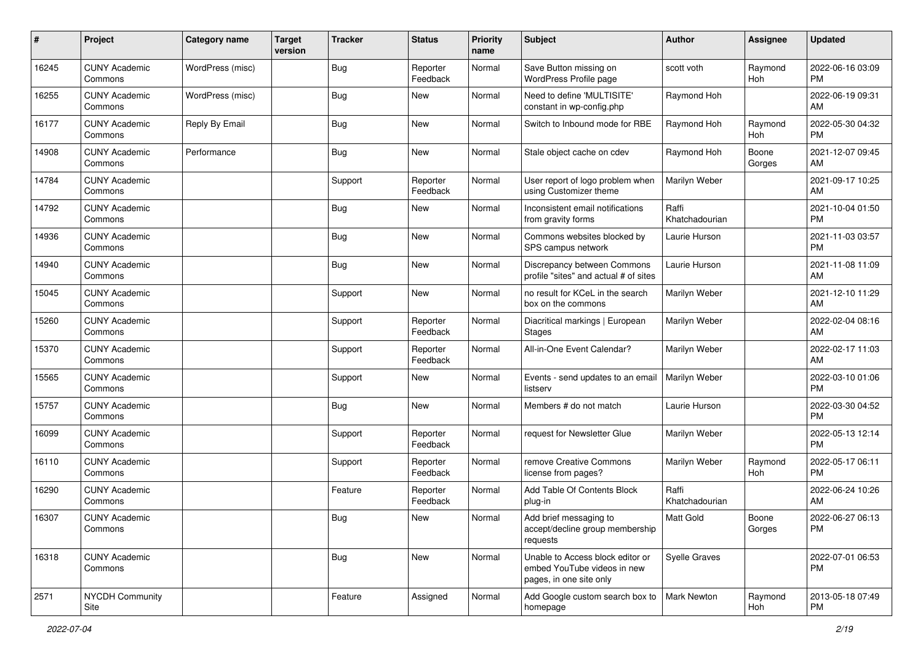| #     | Project                         | Category name    | <b>Target</b><br>version | <b>Tracker</b> | <b>Status</b>        | <b>Priority</b><br>name | <b>Subject</b>                                                                             | <b>Author</b>           | <b>Assignee</b> | <b>Updated</b>                |
|-------|---------------------------------|------------------|--------------------------|----------------|----------------------|-------------------------|--------------------------------------------------------------------------------------------|-------------------------|-----------------|-------------------------------|
| 16245 | <b>CUNY Academic</b><br>Commons | WordPress (misc) |                          | <b>Bug</b>     | Reporter<br>Feedback | Normal                  | Save Button missing on<br>WordPress Profile page                                           | scott voth              | Raymond<br>Hoh  | 2022-06-16 03:09<br><b>PM</b> |
| 16255 | <b>CUNY Academic</b><br>Commons | WordPress (misc) |                          | <b>Bug</b>     | New                  | Normal                  | Need to define 'MULTISITE'<br>constant in wp-config.php                                    | Raymond Hoh             |                 | 2022-06-19 09:31<br>AM        |
| 16177 | <b>CUNY Academic</b><br>Commons | Reply By Email   |                          | <b>Bug</b>     | <b>New</b>           | Normal                  | Switch to Inbound mode for RBE                                                             | Raymond Hoh             | Raymond<br>Hoh  | 2022-05-30 04:32<br><b>PM</b> |
| 14908 | <b>CUNY Academic</b><br>Commons | Performance      |                          | Bug            | <b>New</b>           | Normal                  | Stale object cache on cdev                                                                 | Raymond Hoh             | Boone<br>Gorges | 2021-12-07 09:45<br>AM        |
| 14784 | <b>CUNY Academic</b><br>Commons |                  |                          | Support        | Reporter<br>Feedback | Normal                  | User report of logo problem when<br>using Customizer theme                                 | Marilyn Weber           |                 | 2021-09-17 10:25<br>AM        |
| 14792 | <b>CUNY Academic</b><br>Commons |                  |                          | Bug            | New                  | Normal                  | Inconsistent email notifications<br>from gravity forms                                     | Raffi<br>Khatchadourian |                 | 2021-10-04 01:50<br><b>PM</b> |
| 14936 | <b>CUNY Academic</b><br>Commons |                  |                          | Bug            | <b>New</b>           | Normal                  | Commons websites blocked by<br>SPS campus network                                          | Laurie Hurson           |                 | 2021-11-03 03:57<br><b>PM</b> |
| 14940 | <b>CUNY Academic</b><br>Commons |                  |                          | Bug            | <b>New</b>           | Normal                  | Discrepancy between Commons<br>profile "sites" and actual # of sites                       | Laurie Hurson           |                 | 2021-11-08 11:09<br>AM        |
| 15045 | <b>CUNY Academic</b><br>Commons |                  |                          | Support        | New                  | Normal                  | no result for KCeL in the search<br>box on the commons                                     | Marilyn Weber           |                 | 2021-12-10 11:29<br>AM        |
| 15260 | <b>CUNY Academic</b><br>Commons |                  |                          | Support        | Reporter<br>Feedback | Normal                  | Diacritical markings   European<br><b>Stages</b>                                           | Marilyn Weber           |                 | 2022-02-04 08:16<br>AM        |
| 15370 | <b>CUNY Academic</b><br>Commons |                  |                          | Support        | Reporter<br>Feedback | Normal                  | All-in-One Event Calendar?                                                                 | Marilyn Weber           |                 | 2022-02-17 11:03<br>AM        |
| 15565 | <b>CUNY Academic</b><br>Commons |                  |                          | Support        | New                  | Normal                  | Events - send updates to an email<br>listserv                                              | Marilyn Weber           |                 | 2022-03-10 01:06<br><b>PM</b> |
| 15757 | <b>CUNY Academic</b><br>Commons |                  |                          | Bug            | New                  | Normal                  | Members # do not match                                                                     | Laurie Hurson           |                 | 2022-03-30 04:52<br><b>PM</b> |
| 16099 | <b>CUNY Academic</b><br>Commons |                  |                          | Support        | Reporter<br>Feedback | Normal                  | request for Newsletter Glue                                                                | Marilyn Weber           |                 | 2022-05-13 12:14<br><b>PM</b> |
| 16110 | <b>CUNY Academic</b><br>Commons |                  |                          | Support        | Reporter<br>Feedback | Normal                  | remove Creative Commons<br>license from pages?                                             | Marilyn Weber           | Raymond<br>Hoh  | 2022-05-17 06:11<br><b>PM</b> |
| 16290 | <b>CUNY Academic</b><br>Commons |                  |                          | Feature        | Reporter<br>Feedback | Normal                  | Add Table Of Contents Block<br>plug-in                                                     | Raffi<br>Khatchadourian |                 | 2022-06-24 10:26<br>AM        |
| 16307 | <b>CUNY Academic</b><br>Commons |                  |                          | <b>Bug</b>     | New                  | Normal                  | Add brief messaging to<br>accept/decline group membership<br>requests                      | <b>Matt Gold</b>        | Boone<br>Gorges | 2022-06-27 06:13<br><b>PM</b> |
| 16318 | <b>CUNY Academic</b><br>Commons |                  |                          | Bug            | New                  | Normal                  | Unable to Access block editor or<br>embed YouTube videos in new<br>pages, in one site only | Syelle Graves           |                 | 2022-07-01 06:53<br><b>PM</b> |
| 2571  | NYCDH Community<br>Site         |                  |                          | Feature        | Assigned             | Normal                  | Add Google custom search box to<br>homepage                                                | Mark Newton             | Raymond<br>Hoh  | 2013-05-18 07:49<br><b>PM</b> |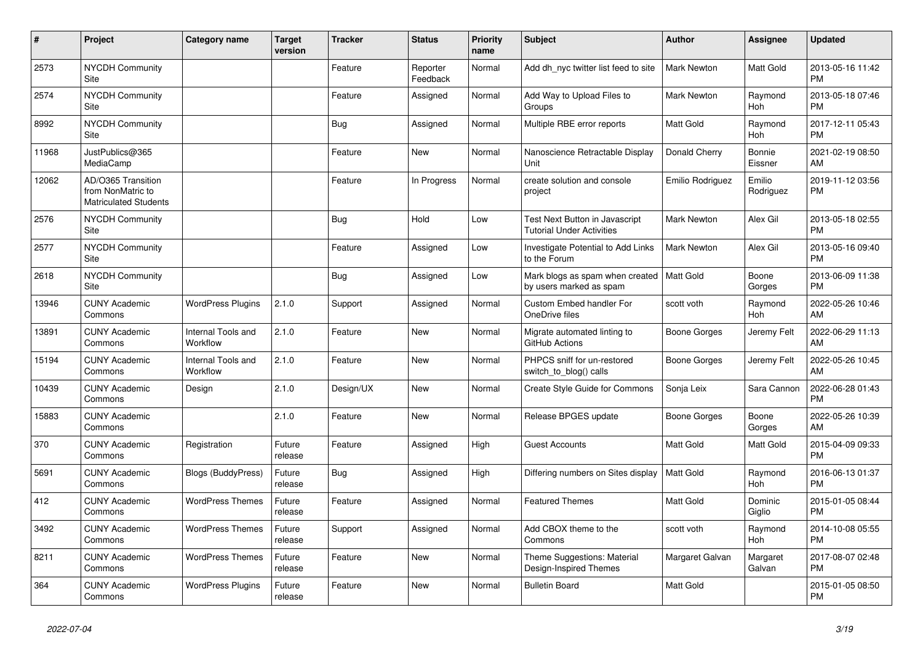| #     | Project                                                                 | <b>Category name</b>           | <b>Target</b><br>version | <b>Tracker</b> | <b>Status</b>        | <b>Priority</b><br>name | <b>Subject</b>                                                         | <b>Author</b>      | Assignee              | <b>Updated</b>                |
|-------|-------------------------------------------------------------------------|--------------------------------|--------------------------|----------------|----------------------|-------------------------|------------------------------------------------------------------------|--------------------|-----------------------|-------------------------------|
| 2573  | <b>NYCDH Community</b><br>Site                                          |                                |                          | Feature        | Reporter<br>Feedback | Normal                  | Add dh_nyc twitter list feed to site                                   | Mark Newton        | Matt Gold             | 2013-05-16 11:42<br><b>PM</b> |
| 2574  | <b>NYCDH Community</b><br>Site                                          |                                |                          | Feature        | Assigned             | Normal                  | Add Way to Upload Files to<br>Groups                                   | Mark Newton        | Raymond<br>Hoh        | 2013-05-18 07:46<br><b>PM</b> |
| 8992  | <b>NYCDH Community</b><br>Site                                          |                                |                          | Bug            | Assigned             | Normal                  | Multiple RBE error reports                                             | <b>Matt Gold</b>   | Raymond<br><b>Hoh</b> | 2017-12-11 05:43<br><b>PM</b> |
| 11968 | JustPublics@365<br>MediaCamp                                            |                                |                          | Feature        | <b>New</b>           | Normal                  | Nanoscience Retractable Display<br>Unit                                | Donald Cherry      | Bonnie<br>Eissner     | 2021-02-19 08:50<br>AM        |
| 12062 | AD/O365 Transition<br>from NonMatric to<br><b>Matriculated Students</b> |                                |                          | Feature        | In Progress          | Normal                  | create solution and console<br>project                                 | Emilio Rodriguez   | Emilio<br>Rodriguez   | 2019-11-12 03:56<br><b>PM</b> |
| 2576  | <b>NYCDH Community</b><br>Site                                          |                                |                          | <b>Bug</b>     | Hold                 | Low                     | Test Next Button in Javascript<br><b>Tutorial Under Activities</b>     | <b>Mark Newton</b> | Alex Gil              | 2013-05-18 02:55<br><b>PM</b> |
| 2577  | <b>NYCDH Community</b><br>Site                                          |                                |                          | Feature        | Assigned             | Low                     | Investigate Potential to Add Links<br>to the Forum                     | Mark Newton        | Alex Gil              | 2013-05-16 09:40<br><b>PM</b> |
| 2618  | NYCDH Community<br>Site                                                 |                                |                          | Bug            | Assigned             | Low                     | Mark blogs as spam when created   Matt Gold<br>by users marked as spam |                    | Boone<br>Gorges       | 2013-06-09 11:38<br><b>PM</b> |
| 13946 | <b>CUNY Academic</b><br>Commons                                         | <b>WordPress Plugins</b>       | 2.1.0                    | Support        | Assigned             | Normal                  | Custom Embed handler For<br>OneDrive files                             | scott voth         | Raymond<br>Hoh        | 2022-05-26 10:46<br>AM        |
| 13891 | <b>CUNY Academic</b><br>Commons                                         | Internal Tools and<br>Workflow | 2.1.0                    | Feature        | <b>New</b>           | Normal                  | Migrate automated linting to<br>GitHub Actions                         | Boone Gorges       | Jeremy Felt           | 2022-06-29 11:13<br>AM        |
| 15194 | <b>CUNY Academic</b><br>Commons                                         | Internal Tools and<br>Workflow | 2.1.0                    | Feature        | New                  | Normal                  | PHPCS sniff for un-restored<br>switch to blog() calls                  | Boone Gorges       | Jeremy Felt           | 2022-05-26 10:45<br>AM        |
| 10439 | <b>CUNY Academic</b><br>Commons                                         | Design                         | 2.1.0                    | Design/UX      | <b>New</b>           | Normal                  | Create Style Guide for Commons                                         | Sonja Leix         | Sara Cannon           | 2022-06-28 01:43<br><b>PM</b> |
| 15883 | <b>CUNY Academic</b><br>Commons                                         |                                | 2.1.0                    | Feature        | <b>New</b>           | Normal                  | Release BPGES update                                                   | Boone Gorges       | Boone<br>Gorges       | 2022-05-26 10:39<br>AM        |
| 370   | <b>CUNY Academic</b><br>Commons                                         | Registration                   | Future<br>release        | Feature        | Assigned             | High                    | <b>Guest Accounts</b>                                                  | <b>Matt Gold</b>   | Matt Gold             | 2015-04-09 09:33<br><b>PM</b> |
| 5691  | <b>CUNY Academic</b><br>Commons                                         | <b>Blogs (BuddyPress)</b>      | Future<br>release        | Bug            | Assigned             | High                    | Differing numbers on Sites display                                     | Matt Gold          | Raymond<br>Hoh        | 2016-06-13 01:37<br><b>PM</b> |
| 412   | <b>CUNY Academic</b><br>Commons                                         | <b>WordPress Themes</b>        | Future<br>release        | Feature        | Assigned             | Normal                  | <b>Featured Themes</b>                                                 | Matt Gold          | Dominic<br>Giglio     | 2015-01-05 08:44<br><b>PM</b> |
| 3492  | <b>CUNY Academic</b><br>Commons                                         | <b>WordPress Themes</b>        | Future<br>release        | Support        | Assigned             | Normal                  | Add CBOX theme to the<br>Commons                                       | scott voth         | Raymond<br>Hoh        | 2014-10-08 05:55<br><b>PM</b> |
| 8211  | <b>CUNY Academic</b><br>Commons                                         | <b>WordPress Themes</b>        | Future<br>release        | Feature        | New                  | Normal                  | Theme Suggestions: Material<br>Design-Inspired Themes                  | Margaret Galvan    | Margaret<br>Galvan    | 2017-08-07 02:48<br><b>PM</b> |
| 364   | <b>CUNY Academic</b><br>Commons                                         | <b>WordPress Plugins</b>       | Future<br>release        | Feature        | <b>New</b>           | Normal                  | <b>Bulletin Board</b>                                                  | <b>Matt Gold</b>   |                       | 2015-01-05 08:50<br><b>PM</b> |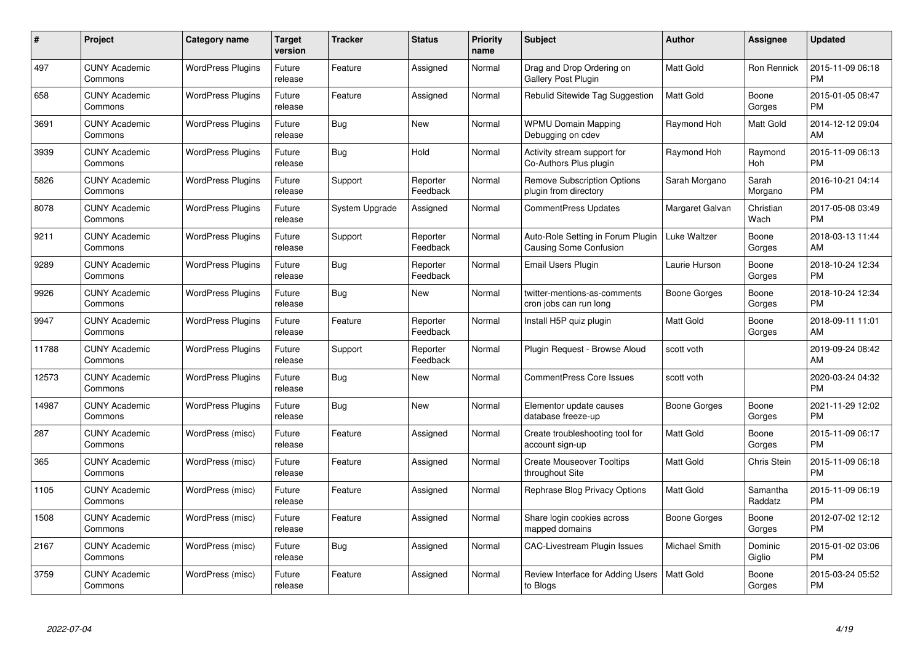| #     | Project                         | <b>Category name</b>     | <b>Target</b><br>version | <b>Tracker</b> | <b>Status</b>        | <b>Priority</b><br>name | <b>Subject</b>                                                     | <b>Author</b>    | <b>Assignee</b>     | <b>Updated</b>                |
|-------|---------------------------------|--------------------------|--------------------------|----------------|----------------------|-------------------------|--------------------------------------------------------------------|------------------|---------------------|-------------------------------|
| 497   | <b>CUNY Academic</b><br>Commons | <b>WordPress Plugins</b> | Future<br>release        | Feature        | Assigned             | Normal                  | Drag and Drop Ordering on<br>Gallery Post Plugin                   | <b>Matt Gold</b> | Ron Rennick         | 2015-11-09 06:18<br><b>PM</b> |
| 658   | <b>CUNY Academic</b><br>Commons | <b>WordPress Plugins</b> | Future<br>release        | Feature        | Assigned             | Normal                  | Rebulid Sitewide Tag Suggestion                                    | <b>Matt Gold</b> | Boone<br>Gorges     | 2015-01-05 08:47<br>PM        |
| 3691  | <b>CUNY Academic</b><br>Commons | <b>WordPress Plugins</b> | Future<br>release        | Bug            | New                  | Normal                  | <b>WPMU Domain Mapping</b><br>Debugging on cdev                    | Raymond Hoh      | Matt Gold           | 2014-12-12 09:04<br>AM        |
| 3939  | <b>CUNY Academic</b><br>Commons | <b>WordPress Plugins</b> | Future<br>release        | Bug            | Hold                 | Normal                  | Activity stream support for<br>Co-Authors Plus plugin              | Raymond Hoh      | Raymond<br>Hoh      | 2015-11-09 06:13<br><b>PM</b> |
| 5826  | <b>CUNY Academic</b><br>Commons | <b>WordPress Plugins</b> | Future<br>release        | Support        | Reporter<br>Feedback | Normal                  | <b>Remove Subscription Options</b><br>plugin from directory        | Sarah Morgano    | Sarah<br>Morgano    | 2016-10-21 04:14<br><b>PM</b> |
| 8078  | <b>CUNY Academic</b><br>Commons | <b>WordPress Plugins</b> | Future<br>release        | System Upgrade | Assigned             | Normal                  | <b>CommentPress Updates</b>                                        | Margaret Galvan  | Christian<br>Wach   | 2017-05-08 03:49<br>PM        |
| 9211  | <b>CUNY Academic</b><br>Commons | <b>WordPress Plugins</b> | Future<br>release        | Support        | Reporter<br>Feedback | Normal                  | Auto-Role Setting in Forum Plugin<br><b>Causing Some Confusion</b> | Luke Waltzer     | Boone<br>Gorges     | 2018-03-13 11:44<br>AM        |
| 9289  | <b>CUNY Academic</b><br>Commons | <b>WordPress Plugins</b> | Future<br>release        | Bug            | Reporter<br>Feedback | Normal                  | Email Users Plugin                                                 | Laurie Hurson    | Boone<br>Gorges     | 2018-10-24 12:34<br><b>PM</b> |
| 9926  | <b>CUNY Academic</b><br>Commons | <b>WordPress Plugins</b> | Future<br>release        | Bug            | New                  | Normal                  | twitter-mentions-as-comments<br>cron jobs can run long             | Boone Gorges     | Boone<br>Gorges     | 2018-10-24 12:34<br><b>PM</b> |
| 9947  | <b>CUNY Academic</b><br>Commons | <b>WordPress Plugins</b> | Future<br>release        | Feature        | Reporter<br>Feedback | Normal                  | Install H5P quiz plugin                                            | <b>Matt Gold</b> | Boone<br>Gorges     | 2018-09-11 11:01<br>AM        |
| 11788 | <b>CUNY Academic</b><br>Commons | <b>WordPress Plugins</b> | Future<br>release        | Support        | Reporter<br>Feedback | Normal                  | Plugin Request - Browse Aloud                                      | scott voth       |                     | 2019-09-24 08:42<br>AM        |
| 12573 | <b>CUNY Academic</b><br>Commons | <b>WordPress Plugins</b> | Future<br>release        | Bug            | New                  | Normal                  | <b>CommentPress Core Issues</b>                                    | scott voth       |                     | 2020-03-24 04:32<br><b>PM</b> |
| 14987 | <b>CUNY Academic</b><br>Commons | <b>WordPress Plugins</b> | Future<br>release        | Bug            | New                  | Normal                  | Elementor update causes<br>database freeze-up                      | Boone Gorges     | Boone<br>Gorges     | 2021-11-29 12:02<br>PM        |
| 287   | <b>CUNY Academic</b><br>Commons | WordPress (misc)         | Future<br>release        | Feature        | Assigned             | Normal                  | Create troubleshooting tool for<br>account sign-up                 | <b>Matt Gold</b> | Boone<br>Gorges     | 2015-11-09 06:17<br>PM        |
| 365   | <b>CUNY Academic</b><br>Commons | WordPress (misc)         | Future<br>release        | Feature        | Assigned             | Normal                  | <b>Create Mouseover Tooltips</b><br>throughout Site                | <b>Matt Gold</b> | <b>Chris Stein</b>  | 2015-11-09 06:18<br><b>PM</b> |
| 1105  | <b>CUNY Academic</b><br>Commons | WordPress (misc)         | Future<br>release        | Feature        | Assigned             | Normal                  | Rephrase Blog Privacy Options                                      | <b>Matt Gold</b> | Samantha<br>Raddatz | 2015-11-09 06:19<br><b>PM</b> |
| 1508  | <b>CUNY Academic</b><br>Commons | WordPress (misc)         | Future<br>release        | Feature        | Assigned             | Normal                  | Share login cookies across<br>mapped domains                       | Boone Gorges     | Boone<br>Gorges     | 2012-07-02 12:12<br>PM        |
| 2167  | <b>CUNY Academic</b><br>Commons | WordPress (misc)         | Future<br>release        | <b>Bug</b>     | Assigned             | Normal                  | <b>CAC-Livestream Plugin Issues</b>                                | Michael Smith    | Dominic<br>Giglio   | 2015-01-02 03:06<br><b>PM</b> |
| 3759  | <b>CUNY Academic</b><br>Commons | WordPress (misc)         | Future<br>release        | Feature        | Assigned             | Normal                  | Review Interface for Adding Users<br>to Blogs                      | <b>Matt Gold</b> | Boone<br>Gorges     | 2015-03-24 05:52<br>PM        |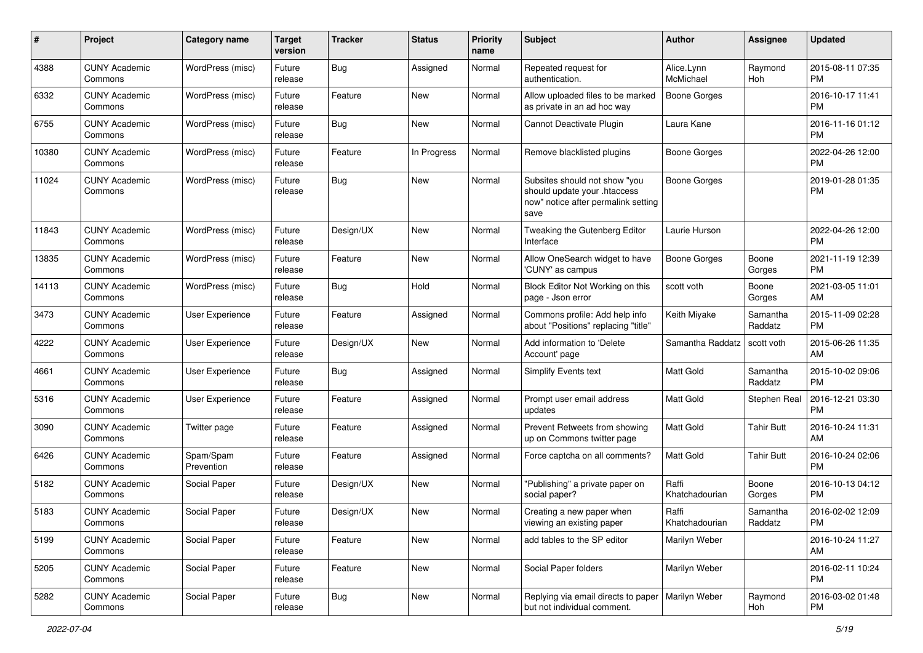| #     | Project                         | <b>Category name</b>    | <b>Target</b><br>version | <b>Tracker</b> | <b>Status</b> | <b>Priority</b><br>name | <b>Subject</b>                                                                                               | <b>Author</b>           | <b>Assignee</b>     | <b>Updated</b>                |
|-------|---------------------------------|-------------------------|--------------------------|----------------|---------------|-------------------------|--------------------------------------------------------------------------------------------------------------|-------------------------|---------------------|-------------------------------|
| 4388  | <b>CUNY Academic</b><br>Commons | WordPress (misc)        | Future<br>release        | Bug            | Assigned      | Normal                  | Repeated request for<br>authentication.                                                                      | Alice.Lynn<br>McMichael | Raymond<br>Hoh      | 2015-08-11 07:35<br>PM.       |
| 6332  | <b>CUNY Academic</b><br>Commons | WordPress (misc)        | Future<br>release        | Feature        | New           | Normal                  | Allow uploaded files to be marked<br>as private in an ad hoc way                                             | <b>Boone Gorges</b>     |                     | 2016-10-17 11:41<br><b>PM</b> |
| 6755  | <b>CUNY Academic</b><br>Commons | WordPress (misc)        | Future<br>release        | Bug            | New           | Normal                  | Cannot Deactivate Plugin                                                                                     | Laura Kane              |                     | 2016-11-16 01:12<br><b>PM</b> |
| 10380 | <b>CUNY Academic</b><br>Commons | WordPress (misc)        | Future<br>release        | Feature        | In Progress   | Normal                  | Remove blacklisted plugins                                                                                   | Boone Gorges            |                     | 2022-04-26 12:00<br>PM.       |
| 11024 | <b>CUNY Academic</b><br>Commons | WordPress (misc)        | Future<br>release        | Bug            | New           | Normal                  | Subsites should not show "you<br>should update your .htaccess<br>now" notice after permalink setting<br>save | Boone Gorges            |                     | 2019-01-28 01:35<br><b>PM</b> |
| 11843 | <b>CUNY Academic</b><br>Commons | WordPress (misc)        | Future<br>release        | Design/UX      | New           | Normal                  | Tweaking the Gutenberg Editor<br>Interface                                                                   | Laurie Hurson           |                     | 2022-04-26 12:00<br>PM.       |
| 13835 | <b>CUNY Academic</b><br>Commons | WordPress (misc)        | Future<br>release        | Feature        | New           | Normal                  | Allow OneSearch widget to have<br>'CUNY' as campus                                                           | Boone Gorges            | Boone<br>Gorges     | 2021-11-19 12:39<br><b>PM</b> |
| 14113 | <b>CUNY Academic</b><br>Commons | WordPress (misc)        | Future<br>release        | Bug            | Hold          | Normal                  | Block Editor Not Working on this<br>page - Json error                                                        | scott voth              | Boone<br>Gorges     | 2021-03-05 11:01<br>AM.       |
| 3473  | <b>CUNY Academic</b><br>Commons | <b>User Experience</b>  | Future<br>release        | Feature        | Assigned      | Normal                  | Commons profile: Add help info<br>about "Positions" replacing "title"                                        | Keith Miyake            | Samantha<br>Raddatz | 2015-11-09 02:28<br><b>PM</b> |
| 4222  | <b>CUNY Academic</b><br>Commons | User Experience         | Future<br>release        | Design/UX      | New           | Normal                  | Add information to 'Delete<br>Account' page                                                                  | Samantha Raddatz        | scott voth          | 2015-06-26 11:35<br>AM.       |
| 4661  | <b>CUNY Academic</b><br>Commons | User Experience         | Future<br>release        | Bug            | Assigned      | Normal                  | <b>Simplify Events text</b>                                                                                  | <b>Matt Gold</b>        | Samantha<br>Raddatz | 2015-10-02 09:06<br><b>PM</b> |
| 5316  | <b>CUNY Academic</b><br>Commons | User Experience         | Future<br>release        | Feature        | Assigned      | Normal                  | Prompt user email address<br>updates                                                                         | Matt Gold               | Stephen Real        | 2016-12-21 03:30<br><b>PM</b> |
| 3090  | <b>CUNY Academic</b><br>Commons | Twitter page            | Future<br>release        | Feature        | Assigned      | Normal                  | Prevent Retweets from showing<br>up on Commons twitter page                                                  | Matt Gold               | <b>Tahir Butt</b>   | 2016-10-24 11:31<br>AM        |
| 6426  | <b>CUNY Academic</b><br>Commons | Spam/Spam<br>Prevention | Future<br>release        | Feature        | Assigned      | Normal                  | Force captcha on all comments?                                                                               | <b>Matt Gold</b>        | <b>Tahir Butt</b>   | 2016-10-24 02:06<br><b>PM</b> |
| 5182  | <b>CUNY Academic</b><br>Commons | Social Paper            | Future<br>release        | Design/UX      | New           | Normal                  | "Publishing" a private paper on<br>social paper?                                                             | Raffi<br>Khatchadourian | Boone<br>Gorges     | 2016-10-13 04:12<br><b>PM</b> |
| 5183  | <b>CUNY Academic</b><br>Commons | Social Paper            | Future<br>release        | Design/UX      | New           | Normal                  | Creating a new paper when<br>viewing an existing paper                                                       | Raffi<br>Khatchadourian | Samantha<br>Raddatz | 2016-02-02 12:09<br>PM        |
| 5199  | <b>CUNY Academic</b><br>Commons | Social Paper            | Future<br>release        | Feature        | New           | Normal                  | add tables to the SP editor                                                                                  | Marilyn Weber           |                     | 2016-10-24 11:27<br>AM        |
| 5205  | <b>CUNY Academic</b><br>Commons | Social Paper            | Future<br>release        | Feature        | New           | Normal                  | Social Paper folders                                                                                         | Marilyn Weber           |                     | 2016-02-11 10:24<br><b>PM</b> |
| 5282  | <b>CUNY Academic</b><br>Commons | Social Paper            | Future<br>release        | Bug            | New           | Normal                  | Replying via email directs to paper<br>but not individual comment.                                           | Marilyn Weber           | Raymond<br>Hoh      | 2016-03-02 01:48<br><b>PM</b> |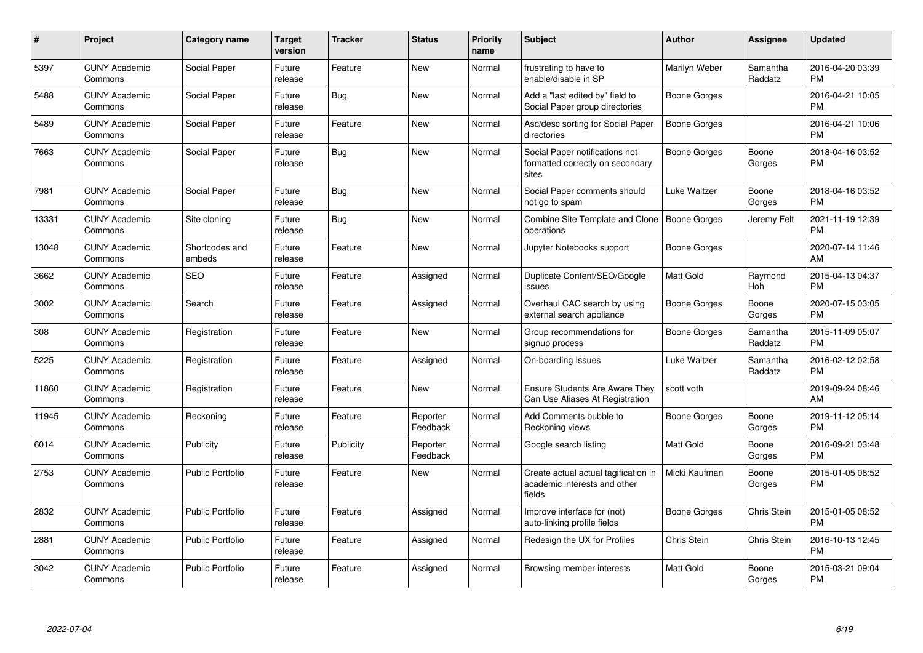| #     | Project                         | <b>Category name</b>     | Target<br>version | <b>Tracker</b> | <b>Status</b>        | Priority<br>name | <b>Subject</b>                                                                 | <b>Author</b>       | Assignee            | <b>Updated</b>                |
|-------|---------------------------------|--------------------------|-------------------|----------------|----------------------|------------------|--------------------------------------------------------------------------------|---------------------|---------------------|-------------------------------|
| 5397  | <b>CUNY Academic</b><br>Commons | Social Paper             | Future<br>release | Feature        | New                  | Normal           | frustrating to have to<br>enable/disable in SP                                 | Marilyn Weber       | Samantha<br>Raddatz | 2016-04-20 03:39<br><b>PM</b> |
| 5488  | <b>CUNY Academic</b><br>Commons | Social Paper             | Future<br>release | <b>Bug</b>     | New                  | Normal           | Add a "last edited by" field to<br>Social Paper group directories              | Boone Gorges        |                     | 2016-04-21 10:05<br><b>PM</b> |
| 5489  | <b>CUNY Academic</b><br>Commons | Social Paper             | Future<br>release | Feature        | New                  | Normal           | Asc/desc sorting for Social Paper<br>directories                               | Boone Gorges        |                     | 2016-04-21 10:06<br>PM        |
| 7663  | <b>CUNY Academic</b><br>Commons | Social Paper             | Future<br>release | Bug            | <b>New</b>           | Normal           | Social Paper notifications not<br>formatted correctly on secondary<br>sites    | Boone Gorges        | Boone<br>Gorges     | 2018-04-16 03:52<br><b>PM</b> |
| 7981  | <b>CUNY Academic</b><br>Commons | Social Paper             | Future<br>release | Bug            | <b>New</b>           | Normal           | Social Paper comments should<br>not go to spam                                 | Luke Waltzer        | Boone<br>Gorges     | 2018-04-16 03:52<br><b>PM</b> |
| 13331 | <b>CUNY Academic</b><br>Commons | Site cloning             | Future<br>release | Bug            | <b>New</b>           | Normal           | Combine Site Template and Clone<br>operations                                  | Boone Gorges        | Jeremy Felt         | 2021-11-19 12:39<br><b>PM</b> |
| 13048 | <b>CUNY Academic</b><br>Commons | Shortcodes and<br>embeds | Future<br>release | Feature        | <b>New</b>           | Normal           | Jupyter Notebooks support                                                      | <b>Boone Gorges</b> |                     | 2020-07-14 11:46<br>AM        |
| 3662  | <b>CUNY Academic</b><br>Commons | <b>SEO</b>               | Future<br>release | Feature        | Assigned             | Normal           | Duplicate Content/SEO/Google<br>issues                                         | <b>Matt Gold</b>    | Raymond<br>Hoh      | 2015-04-13 04:37<br><b>PM</b> |
| 3002  | <b>CUNY Academic</b><br>Commons | Search                   | Future<br>release | Feature        | Assigned             | Normal           | Overhaul CAC search by using<br>external search appliance                      | Boone Gorges        | Boone<br>Gorges     | 2020-07-15 03:05<br>PM.       |
| 308   | <b>CUNY Academic</b><br>Commons | Registration             | Future<br>release | Feature        | New                  | Normal           | Group recommendations for<br>signup process                                    | Boone Gorges        | Samantha<br>Raddatz | 2015-11-09 05:07<br><b>PM</b> |
| 5225  | <b>CUNY Academic</b><br>Commons | Registration             | Future<br>release | Feature        | Assigned             | Normal           | On-boarding Issues                                                             | Luke Waltzer        | Samantha<br>Raddatz | 2016-02-12 02:58<br><b>PM</b> |
| 11860 | <b>CUNY Academic</b><br>Commons | Registration             | Future<br>release | Feature        | New                  | Normal           | <b>Ensure Students Are Aware They</b><br>Can Use Aliases At Registration       | scott voth          |                     | 2019-09-24 08:46<br>AM        |
| 11945 | <b>CUNY Academic</b><br>Commons | Reckoning                | Future<br>release | Feature        | Reporter<br>Feedback | Normal           | Add Comments bubble to<br>Reckoning views                                      | Boone Gorges        | Boone<br>Gorges     | 2019-11-12 05:14<br><b>PM</b> |
| 6014  | <b>CUNY Academic</b><br>Commons | Publicity                | Future<br>release | Publicity      | Reporter<br>Feedback | Normal           | Google search listing                                                          | Matt Gold           | Boone<br>Gorges     | 2016-09-21 03:48<br><b>PM</b> |
| 2753  | <b>CUNY Academic</b><br>Commons | <b>Public Portfolio</b>  | Future<br>release | Feature        | <b>New</b>           | Normal           | Create actual actual tagification in<br>academic interests and other<br>fields | Micki Kaufman       | Boone<br>Gorges     | 2015-01-05 08:52<br><b>PM</b> |
| 2832  | <b>CUNY Academic</b><br>Commons | <b>Public Portfolio</b>  | Future<br>release | Feature        | Assigned             | Normal           | Improve interface for (not)<br>auto-linking profile fields                     | Boone Gorges        | Chris Stein         | 2015-01-05 08:52<br>PM        |
| 2881  | <b>CUNY Academic</b><br>Commons | <b>Public Portfolio</b>  | Future<br>release | Feature        | Assigned             | Normal           | Redesign the UX for Profiles                                                   | Chris Stein         | Chris Stein         | 2016-10-13 12:45<br><b>PM</b> |
| 3042  | <b>CUNY Academic</b><br>Commons | <b>Public Portfolio</b>  | Future<br>release | Feature        | Assigned             | Normal           | Browsing member interests                                                      | <b>Matt Gold</b>    | Boone<br>Gorges     | 2015-03-21 09:04<br>PM        |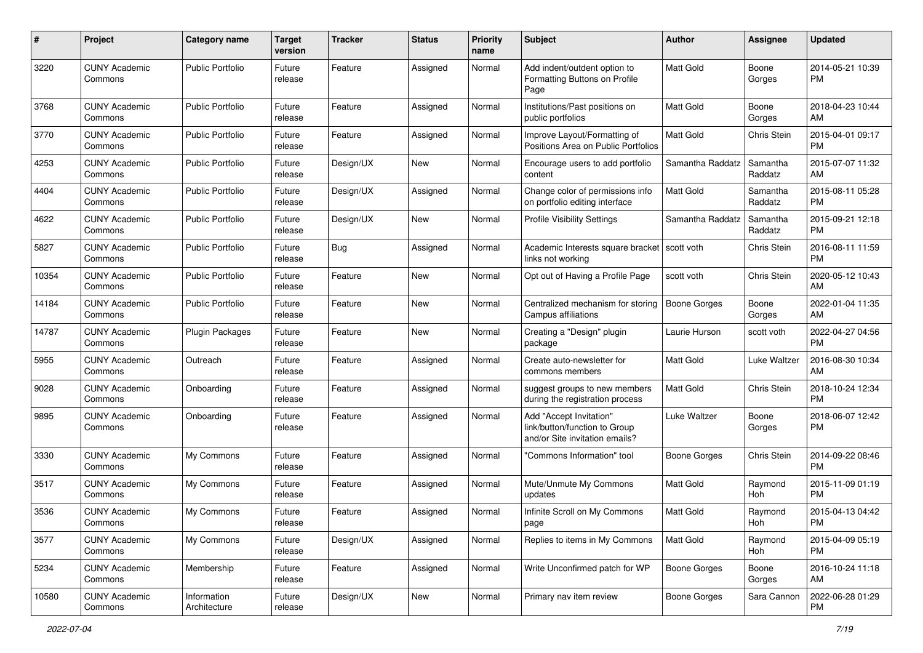| #     | Project                         | <b>Category name</b>        | <b>Target</b><br>version | <b>Tracker</b> | <b>Status</b> | <b>Priority</b><br>name | <b>Subject</b>                                                                             | Author              | <b>Assignee</b>     | <b>Updated</b>                |
|-------|---------------------------------|-----------------------------|--------------------------|----------------|---------------|-------------------------|--------------------------------------------------------------------------------------------|---------------------|---------------------|-------------------------------|
| 3220  | <b>CUNY Academic</b><br>Commons | <b>Public Portfolio</b>     | Future<br>release        | Feature        | Assigned      | Normal                  | Add indent/outdent option to<br>Formatting Buttons on Profile<br>Page                      | <b>Matt Gold</b>    | Boone<br>Gorges     | 2014-05-21 10:39<br><b>PM</b> |
| 3768  | <b>CUNY Academic</b><br>Commons | Public Portfolio            | Future<br>release        | Feature        | Assigned      | Normal                  | Institutions/Past positions on<br>public portfolios                                        | <b>Matt Gold</b>    | Boone<br>Gorges     | 2018-04-23 10:44<br>AM        |
| 3770  | <b>CUNY Academic</b><br>Commons | <b>Public Portfolio</b>     | Future<br>release        | Feature        | Assigned      | Normal                  | Improve Layout/Formatting of<br>Positions Area on Public Portfolios                        | Matt Gold           | <b>Chris Stein</b>  | 2015-04-01 09:17<br><b>PM</b> |
| 4253  | <b>CUNY Academic</b><br>Commons | Public Portfolio            | Future<br>release        | Design/UX      | New           | Normal                  | Encourage users to add portfolio<br>content                                                | Samantha Raddatz    | Samantha<br>Raddatz | 2015-07-07 11:32<br>AM        |
| 4404  | <b>CUNY Academic</b><br>Commons | Public Portfolio            | Future<br>release        | Design/UX      | Assigned      | Normal                  | Change color of permissions info<br>on portfolio editing interface                         | <b>Matt Gold</b>    | Samantha<br>Raddatz | 2015-08-11 05:28<br><b>PM</b> |
| 4622  | <b>CUNY Academic</b><br>Commons | <b>Public Portfolio</b>     | Future<br>release        | Design/UX      | New           | Normal                  | <b>Profile Visibility Settings</b>                                                         | Samantha Raddatz    | Samantha<br>Raddatz | 2015-09-21 12:18<br><b>PM</b> |
| 5827  | <b>CUNY Academic</b><br>Commons | <b>Public Portfolio</b>     | Future<br>release        | Bug            | Assigned      | Normal                  | Academic Interests square bracket   scott voth<br>links not working                        |                     | Chris Stein         | 2016-08-11 11:59<br><b>PM</b> |
| 10354 | <b>CUNY Academic</b><br>Commons | <b>Public Portfolio</b>     | Future<br>release        | Feature        | New           | Normal                  | Opt out of Having a Profile Page                                                           | scott voth          | Chris Stein         | 2020-05-12 10:43<br>AM        |
| 14184 | <b>CUNY Academic</b><br>Commons | <b>Public Portfolio</b>     | Future<br>release        | Feature        | <b>New</b>    | Normal                  | Centralized mechanism for storing<br>Campus affiliations                                   | <b>Boone Gorges</b> | Boone<br>Gorges     | 2022-01-04 11:35<br>AM        |
| 14787 | <b>CUNY Academic</b><br>Commons | <b>Plugin Packages</b>      | Future<br>release        | Feature        | New           | Normal                  | Creating a "Design" plugin<br>package                                                      | Laurie Hurson       | scott voth          | 2022-04-27 04:56<br><b>PM</b> |
| 5955  | <b>CUNY Academic</b><br>Commons | Outreach                    | Future<br>release        | Feature        | Assigned      | Normal                  | Create auto-newsletter for<br>commons members                                              | Matt Gold           | Luke Waltzer        | 2016-08-30 10:34<br>AM        |
| 9028  | <b>CUNY Academic</b><br>Commons | Onboarding                  | Future<br>release        | Feature        | Assigned      | Normal                  | suggest groups to new members<br>during the registration process                           | <b>Matt Gold</b>    | Chris Stein         | 2018-10-24 12:34<br><b>PM</b> |
| 9895  | <b>CUNY Academic</b><br>Commons | Onboarding                  | Future<br>release        | Feature        | Assigned      | Normal                  | Add "Accept Invitation"<br>link/button/function to Group<br>and/or Site invitation emails? | Luke Waltzer        | Boone<br>Gorges     | 2018-06-07 12:42<br><b>PM</b> |
| 3330  | <b>CUNY Academic</b><br>Commons | My Commons                  | Future<br>release        | Feature        | Assigned      | Normal                  | "Commons Information" tool                                                                 | Boone Gorges        | Chris Stein         | 2014-09-22 08:46<br><b>PM</b> |
| 3517  | <b>CUNY Academic</b><br>Commons | My Commons                  | Future<br>release        | Feature        | Assigned      | Normal                  | Mute/Unmute My Commons<br>updates                                                          | <b>Matt Gold</b>    | Raymond<br>Hoh      | 2015-11-09 01:19<br><b>PM</b> |
| 3536  | <b>CUNY Academic</b><br>Commons | My Commons                  | Future<br>release        | Feature        | Assigned      | Normal                  | Infinite Scroll on My Commons<br>page                                                      | Matt Gold           | Raymond<br>Hoh      | 2015-04-13 04:42<br>PM        |
| 3577  | <b>CUNY Academic</b><br>Commons | My Commons                  | Future<br>release        | Design/UX      | Assigned      | Normal                  | Replies to items in My Commons                                                             | <b>Matt Gold</b>    | Raymond<br>Hoh      | 2015-04-09 05:19<br><b>PM</b> |
| 5234  | <b>CUNY Academic</b><br>Commons | Membership                  | Future<br>release        | Feature        | Assigned      | Normal                  | Write Unconfirmed patch for WP                                                             | <b>Boone Gorges</b> | Boone<br>Gorges     | 2016-10-24 11:18<br>AM        |
| 10580 | <b>CUNY Academic</b><br>Commons | Information<br>Architecture | Future<br>release        | Design/UX      | New           | Normal                  | Primary nav item review                                                                    | Boone Gorges        | Sara Cannon         | 2022-06-28 01:29<br><b>PM</b> |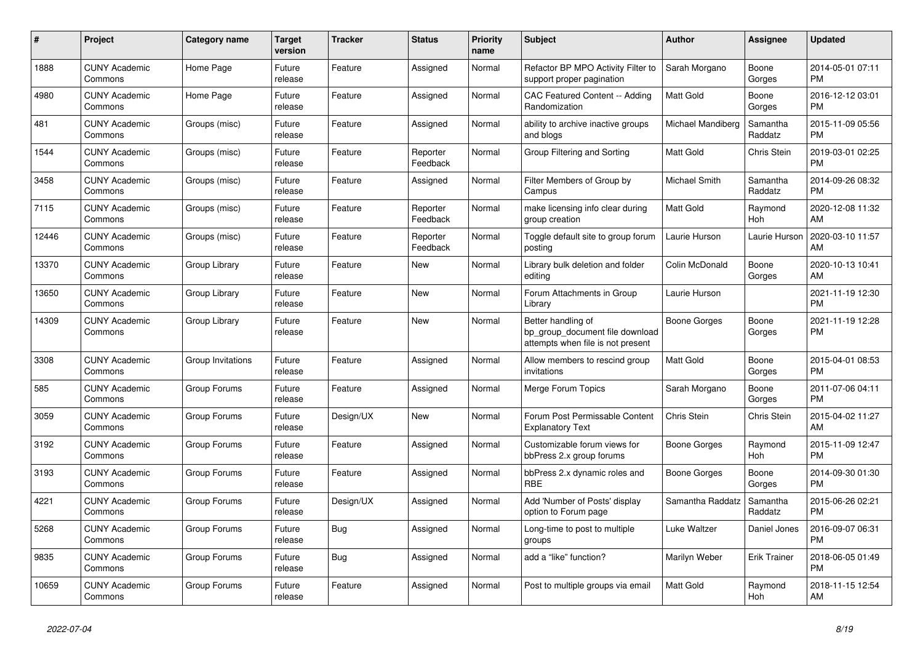| #     | Project                         | <b>Category name</b> | Target<br>version | <b>Tracker</b> | <b>Status</b>        | <b>Priority</b><br>name | <b>Subject</b>                                                                             | <b>Author</b>     | Assignee            | <b>Updated</b>                |
|-------|---------------------------------|----------------------|-------------------|----------------|----------------------|-------------------------|--------------------------------------------------------------------------------------------|-------------------|---------------------|-------------------------------|
| 1888  | <b>CUNY Academic</b><br>Commons | Home Page            | Future<br>release | Feature        | Assigned             | Normal                  | Refactor BP MPO Activity Filter to<br>support proper pagination                            | Sarah Morgano     | Boone<br>Gorges     | 2014-05-01 07:11<br><b>PM</b> |
| 4980  | <b>CUNY Academic</b><br>Commons | Home Page            | Future<br>release | Feature        | Assigned             | Normal                  | <b>CAC Featured Content -- Adding</b><br>Randomization                                     | Matt Gold         | Boone<br>Gorges     | 2016-12-12 03:01<br><b>PM</b> |
| 481   | <b>CUNY Academic</b><br>Commons | Groups (misc)        | Future<br>release | Feature        | Assigned             | Normal                  | ability to archive inactive groups<br>and blogs                                            | Michael Mandiberg | Samantha<br>Raddatz | 2015-11-09 05:56<br><b>PM</b> |
| 1544  | <b>CUNY Academic</b><br>Commons | Groups (misc)        | Future<br>release | Feature        | Reporter<br>Feedback | Normal                  | Group Filtering and Sorting                                                                | <b>Matt Gold</b>  | Chris Stein         | 2019-03-01 02:25<br><b>PM</b> |
| 3458  | <b>CUNY Academic</b><br>Commons | Groups (misc)        | Future<br>release | Feature        | Assigned             | Normal                  | Filter Members of Group by<br>Campus                                                       | Michael Smith     | Samantha<br>Raddatz | 2014-09-26 08:32<br><b>PM</b> |
| 7115  | <b>CUNY Academic</b><br>Commons | Groups (misc)        | Future<br>release | Feature        | Reporter<br>Feedback | Normal                  | make licensing info clear during<br>group creation                                         | Matt Gold         | Raymond<br>Hoh      | 2020-12-08 11:32<br>AM        |
| 12446 | <b>CUNY Academic</b><br>Commons | Groups (misc)        | Future<br>release | Feature        | Reporter<br>Feedback | Normal                  | Toggle default site to group forum<br>posting                                              | Laurie Hurson     | Laurie Hurson       | 2020-03-10 11:57<br>AM        |
| 13370 | <b>CUNY Academic</b><br>Commons | Group Library        | Future<br>release | Feature        | <b>New</b>           | Normal                  | Library bulk deletion and folder<br>editing                                                | Colin McDonald    | Boone<br>Gorges     | 2020-10-13 10:41<br>AM        |
| 13650 | <b>CUNY Academic</b><br>Commons | Group Library        | Future<br>release | Feature        | <b>New</b>           | Normal                  | Forum Attachments in Group<br>Library                                                      | Laurie Hurson     |                     | 2021-11-19 12:30<br><b>PM</b> |
| 14309 | <b>CUNY Academic</b><br>Commons | Group Library        | Future<br>release | Feature        | New                  | Normal                  | Better handling of<br>bp_group_document file download<br>attempts when file is not present | Boone Gorges      | Boone<br>Gorges     | 2021-11-19 12:28<br><b>PM</b> |
| 3308  | <b>CUNY Academic</b><br>Commons | Group Invitations    | Future<br>release | Feature        | Assigned             | Normal                  | Allow members to rescind group<br>invitations                                              | Matt Gold         | Boone<br>Gorges     | 2015-04-01 08:53<br><b>PM</b> |
| 585   | <b>CUNY Academic</b><br>Commons | Group Forums         | Future<br>release | Feature        | Assigned             | Normal                  | Merge Forum Topics                                                                         | Sarah Morgano     | Boone<br>Gorges     | 2011-07-06 04:11<br><b>PM</b> |
| 3059  | <b>CUNY Academic</b><br>Commons | Group Forums         | Future<br>release | Design/UX      | <b>New</b>           | Normal                  | Forum Post Permissable Content<br><b>Explanatory Text</b>                                  | Chris Stein       | Chris Stein         | 2015-04-02 11:27<br>AM        |
| 3192  | <b>CUNY Academic</b><br>Commons | Group Forums         | Future<br>release | Feature        | Assigned             | Normal                  | Customizable forum views for<br>bbPress 2.x group forums                                   | Boone Gorges      | Raymond<br>Hoh      | 2015-11-09 12:47<br><b>PM</b> |
| 3193  | <b>CUNY Academic</b><br>Commons | Group Forums         | Future<br>release | Feature        | Assigned             | Normal                  | bbPress 2.x dynamic roles and<br><b>RBE</b>                                                | Boone Gorges      | Boone<br>Gorges     | 2014-09-30 01:30<br><b>PM</b> |
| 4221  | <b>CUNY Academic</b><br>Commons | Group Forums         | Future<br>release | Design/UX      | Assigned             | Normal                  | Add 'Number of Posts' display<br>option to Forum page                                      | Samantha Raddatz  | Samantha<br>Raddatz | 2015-06-26 02:21<br><b>PM</b> |
| 5268  | <b>CUNY Academic</b><br>Commons | Group Forums         | Future<br>release | Bug            | Assigned             | Normal                  | Long-time to post to multiple<br>groups                                                    | Luke Waltzer      | Daniel Jones        | 2016-09-07 06:31<br><b>PM</b> |
| 9835  | <b>CUNY Academic</b><br>Commons | Group Forums         | Future<br>release | Bug            | Assigned             | Normal                  | add a "like" function?                                                                     | Marilyn Weber     | <b>Erik Trainer</b> | 2018-06-05 01:49<br><b>PM</b> |
| 10659 | <b>CUNY Academic</b><br>Commons | Group Forums         | Future<br>release | Feature        | Assigned             | Normal                  | Post to multiple groups via email                                                          | <b>Matt Gold</b>  | Raymond<br>Hoh      | 2018-11-15 12:54<br>AM        |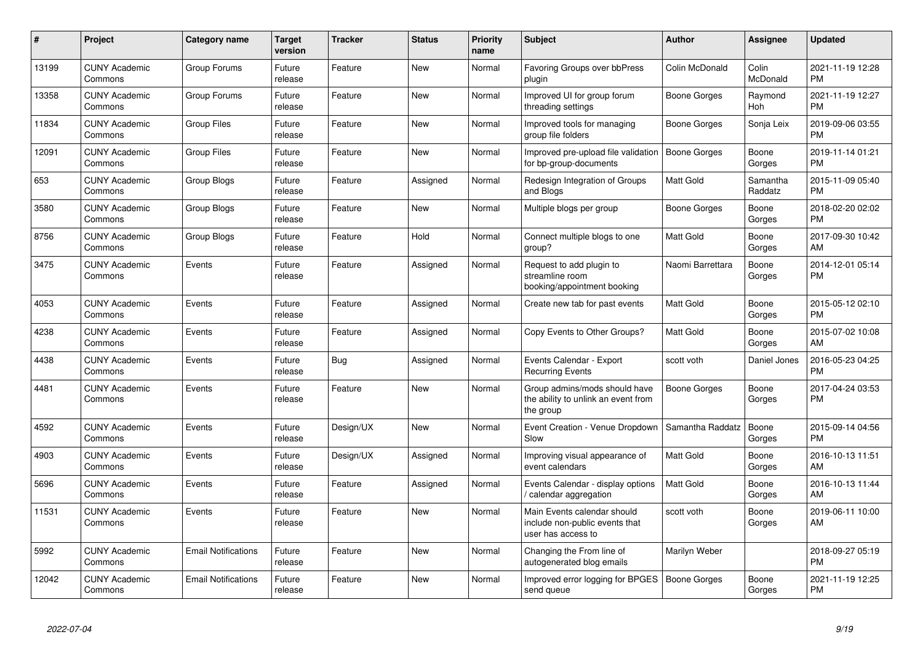| #     | Project                         | <b>Category name</b>       | <b>Target</b><br>version | <b>Tracker</b> | <b>Status</b> | <b>Priority</b><br>name | <b>Subject</b>                                                                      | <b>Author</b>       | Assignee            | <b>Updated</b>                |
|-------|---------------------------------|----------------------------|--------------------------|----------------|---------------|-------------------------|-------------------------------------------------------------------------------------|---------------------|---------------------|-------------------------------|
| 13199 | <b>CUNY Academic</b><br>Commons | Group Forums               | Future<br>release        | Feature        | <b>New</b>    | Normal                  | Favoring Groups over bbPress<br>plugin                                              | Colin McDonald      | Colin<br>McDonald   | 2021-11-19 12:28<br><b>PM</b> |
| 13358 | <b>CUNY Academic</b><br>Commons | Group Forums               | Future<br>release        | Feature        | <b>New</b>    | Normal                  | Improved UI for group forum<br>threading settings                                   | Boone Gorges        | Raymond<br>Hoh      | 2021-11-19 12:27<br><b>PM</b> |
| 11834 | <b>CUNY Academic</b><br>Commons | <b>Group Files</b>         | Future<br>release        | Feature        | New           | Normal                  | Improved tools for managing<br>group file folders                                   | Boone Gorges        | Sonja Leix          | 2019-09-06 03:55<br><b>PM</b> |
| 12091 | <b>CUNY Academic</b><br>Commons | <b>Group Files</b>         | Future<br>release        | Feature        | New           | Normal                  | Improved pre-upload file validation<br>for bp-group-documents                       | Boone Gorges        | Boone<br>Gorges     | 2019-11-14 01:21<br><b>PM</b> |
| 653   | <b>CUNY Academic</b><br>Commons | Group Blogs                | Future<br>release        | Feature        | Assigned      | Normal                  | Redesign Integration of Groups<br>and Blogs                                         | <b>Matt Gold</b>    | Samantha<br>Raddatz | 2015-11-09 05:40<br><b>PM</b> |
| 3580  | <b>CUNY Academic</b><br>Commons | Group Blogs                | Future<br>release        | Feature        | <b>New</b>    | Normal                  | Multiple blogs per group                                                            | Boone Gorges        | Boone<br>Gorges     | 2018-02-20 02:02<br><b>PM</b> |
| 8756  | <b>CUNY Academic</b><br>Commons | Group Blogs                | Future<br>release        | Feature        | Hold          | Normal                  | Connect multiple blogs to one<br>group?                                             | <b>Matt Gold</b>    | Boone<br>Gorges     | 2017-09-30 10:42<br>AM        |
| 3475  | <b>CUNY Academic</b><br>Commons | Events                     | Future<br>release        | Feature        | Assigned      | Normal                  | Request to add plugin to<br>streamline room<br>booking/appointment booking          | Naomi Barrettara    | Boone<br>Gorges     | 2014-12-01 05:14<br><b>PM</b> |
| 4053  | <b>CUNY Academic</b><br>Commons | Events                     | Future<br>release        | Feature        | Assigned      | Normal                  | Create new tab for past events                                                      | Matt Gold           | Boone<br>Gorges     | 2015-05-12 02:10<br><b>PM</b> |
| 4238  | <b>CUNY Academic</b><br>Commons | Events                     | Future<br>release        | Feature        | Assigned      | Normal                  | Copy Events to Other Groups?                                                        | Matt Gold           | Boone<br>Gorges     | 2015-07-02 10:08<br>AM        |
| 4438  | <b>CUNY Academic</b><br>Commons | Events                     | Future<br>release        | Bug            | Assigned      | Normal                  | Events Calendar - Export<br><b>Recurring Events</b>                                 | scott voth          | Daniel Jones        | 2016-05-23 04:25<br><b>PM</b> |
| 4481  | <b>CUNY Academic</b><br>Commons | Events                     | Future<br>release        | Feature        | <b>New</b>    | Normal                  | Group admins/mods should have<br>the ability to unlink an event from<br>the group   | Boone Gorges        | Boone<br>Gorges     | 2017-04-24 03:53<br><b>PM</b> |
| 4592  | <b>CUNY Academic</b><br>Commons | Events                     | Future<br>release        | Design/UX      | <b>New</b>    | Normal                  | Event Creation - Venue Dropdown<br>Slow                                             | Samantha Raddatz    | Boone<br>Gorges     | 2015-09-14 04:56<br><b>PM</b> |
| 4903  | <b>CUNY Academic</b><br>Commons | Events                     | Future<br>release        | Design/UX      | Assigned      | Normal                  | Improving visual appearance of<br>event calendars                                   | <b>Matt Gold</b>    | Boone<br>Gorges     | 2016-10-13 11:51<br>AM        |
| 5696  | <b>CUNY Academic</b><br>Commons | Events                     | Future<br>release        | Feature        | Assigned      | Normal                  | Events Calendar - display options<br>calendar aggregation /                         | <b>Matt Gold</b>    | Boone<br>Gorges     | 2016-10-13 11:44<br>AM        |
| 11531 | <b>CUNY Academic</b><br>Commons | Events                     | Future<br>release        | Feature        | New           | Normal                  | Main Events calendar should<br>include non-public events that<br>user has access to | scott voth          | Boone<br>Gorges     | 2019-06-11 10:00<br>AM        |
| 5992  | <b>CUNY Academic</b><br>Commons | <b>Email Notifications</b> | Future<br>release        | Feature        | <b>New</b>    | Normal                  | Changing the From line of<br>autogenerated blog emails                              | Marilyn Weber       |                     | 2018-09-27 05:19<br><b>PM</b> |
| 12042 | <b>CUNY Academic</b><br>Commons | <b>Email Notifications</b> | Future<br>release        | Feature        | <b>New</b>    | Normal                  | Improved error logging for BPGES<br>send queue                                      | <b>Boone Gorges</b> | Boone<br>Gorges     | 2021-11-19 12:25<br><b>PM</b> |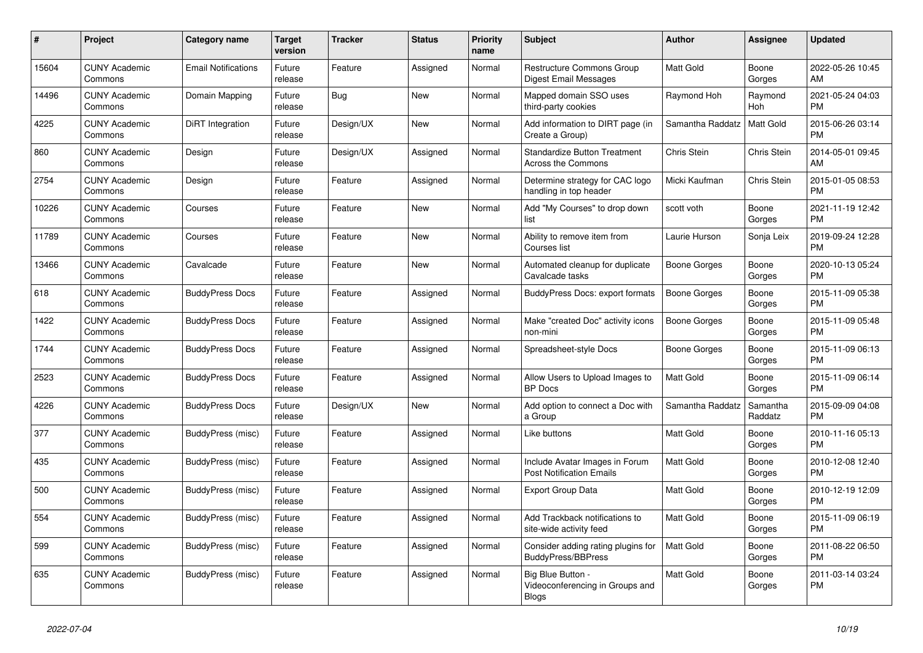| #     | <b>Project</b>                  | Category name              | Target<br>version | <b>Tracker</b> | <b>Status</b> | <b>Priority</b><br>name | <b>Subject</b>                                                       | <b>Author</b>    | Assignee            | <b>Updated</b>                |
|-------|---------------------------------|----------------------------|-------------------|----------------|---------------|-------------------------|----------------------------------------------------------------------|------------------|---------------------|-------------------------------|
| 15604 | <b>CUNY Academic</b><br>Commons | <b>Email Notifications</b> | Future<br>release | Feature        | Assigned      | Normal                  | <b>Restructure Commons Group</b><br>Digest Email Messages            | <b>Matt Gold</b> | Boone<br>Gorges     | 2022-05-26 10:45<br>AM        |
| 14496 | <b>CUNY Academic</b><br>Commons | Domain Mapping             | Future<br>release | Bug            | New           | Normal                  | Mapped domain SSO uses<br>third-party cookies                        | Raymond Hoh      | Raymond<br>Hoh      | 2021-05-24 04:03<br><b>PM</b> |
| 4225  | <b>CUNY Academic</b><br>Commons | DiRT Integration           | Future<br>release | Design/UX      | New           | Normal                  | Add information to DIRT page (in<br>Create a Group)                  | Samantha Raddatz | Matt Gold           | 2015-06-26 03:14<br><b>PM</b> |
| 860   | <b>CUNY Academic</b><br>Commons | Design                     | Future<br>release | Design/UX      | Assigned      | Normal                  | <b>Standardize Button Treatment</b><br>Across the Commons            | Chris Stein      | Chris Stein         | 2014-05-01 09:45<br>AM        |
| 2754  | <b>CUNY Academic</b><br>Commons | Design                     | Future<br>release | Feature        | Assigned      | Normal                  | Determine strategy for CAC logo<br>handling in top header            | Micki Kaufman    | Chris Stein         | 2015-01-05 08:53<br>PM.       |
| 10226 | <b>CUNY Academic</b><br>Commons | Courses                    | Future<br>release | Feature        | New           | Normal                  | Add "My Courses" to drop down<br>list                                | scott voth       | Boone<br>Gorges     | 2021-11-19 12:42<br><b>PM</b> |
| 11789 | <b>CUNY Academic</b><br>Commons | Courses                    | Future<br>release | Feature        | New           | Normal                  | Ability to remove item from<br>Courses list                          | Laurie Hurson    | Sonja Leix          | 2019-09-24 12:28<br><b>PM</b> |
| 13466 | <b>CUNY Academic</b><br>Commons | Cavalcade                  | Future<br>release | Feature        | <b>New</b>    | Normal                  | Automated cleanup for duplicate<br>Cavalcade tasks                   | Boone Gorges     | Boone<br>Gorges     | 2020-10-13 05:24<br>PM.       |
| 618   | <b>CUNY Academic</b><br>Commons | <b>BuddyPress Docs</b>     | Future<br>release | Feature        | Assigned      | Normal                  | BuddyPress Docs: export formats                                      | Boone Gorges     | Boone<br>Gorges     | 2015-11-09 05:38<br><b>PM</b> |
| 1422  | <b>CUNY Academic</b><br>Commons | <b>BuddyPress Docs</b>     | Future<br>release | Feature        | Assigned      | Normal                  | Make "created Doc" activity icons<br>non-mini                        | Boone Gorges     | Boone<br>Gorges     | 2015-11-09 05:48<br><b>PM</b> |
| 1744  | <b>CUNY Academic</b><br>Commons | <b>BuddyPress Docs</b>     | Future<br>release | Feature        | Assigned      | Normal                  | Spreadsheet-style Docs                                               | Boone Gorges     | Boone<br>Gorges     | 2015-11-09 06:13<br><b>PM</b> |
| 2523  | <b>CUNY Academic</b><br>Commons | <b>BuddyPress Docs</b>     | Future<br>release | Feature        | Assigned      | Normal                  | Allow Users to Upload Images to<br><b>BP</b> Docs                    | Matt Gold        | Boone<br>Gorges     | 2015-11-09 06:14<br><b>PM</b> |
| 4226  | <b>CUNY Academic</b><br>Commons | <b>BuddyPress Docs</b>     | Future<br>release | Design/UX      | New           | Normal                  | Add option to connect a Doc with<br>a Group                          | Samantha Raddatz | Samantha<br>Raddatz | 2015-09-09 04:08<br><b>PM</b> |
| 377   | <b>CUNY Academic</b><br>Commons | BuddyPress (misc)          | Future<br>release | Feature        | Assigned      | Normal                  | Like buttons                                                         | <b>Matt Gold</b> | Boone<br>Gorges     | 2010-11-16 05:13<br>PM.       |
| 435   | <b>CUNY Academic</b><br>Commons | BuddyPress (misc)          | Future<br>release | Feature        | Assigned      | Normal                  | Include Avatar Images in Forum<br><b>Post Notification Emails</b>    | Matt Gold        | Boone<br>Gorges     | 2010-12-08 12:40<br><b>PM</b> |
| 500   | <b>CUNY Academic</b><br>Commons | BuddyPress (misc)          | Future<br>release | Feature        | Assigned      | Normal                  | Export Group Data                                                    | Matt Gold        | Boone<br>Gorges     | 2010-12-19 12:09<br><b>PM</b> |
| 554   | <b>CUNY Academic</b><br>Commons | BuddyPress (misc)          | Future<br>release | Feature        | Assigned      | Normal                  | Add Trackback notifications to<br>site-wide activity feed            | <b>Matt Gold</b> | Boone<br>Gorges     | 2015-11-09 06:19<br><b>PM</b> |
| 599   | <b>CUNY Academic</b><br>Commons | <b>BuddyPress (misc)</b>   | Future<br>release | Feature        | Assigned      | Normal                  | Consider adding rating plugins for<br><b>BuddyPress/BBPress</b>      | Matt Gold        | Boone<br>Gorges     | 2011-08-22 06:50<br><b>PM</b> |
| 635   | <b>CUNY Academic</b><br>Commons | BuddyPress (misc)          | Future<br>release | Feature        | Assigned      | Normal                  | Big Blue Button -<br>Videoconferencing in Groups and<br><b>Blogs</b> | Matt Gold        | Boone<br>Gorges     | 2011-03-14 03:24<br><b>PM</b> |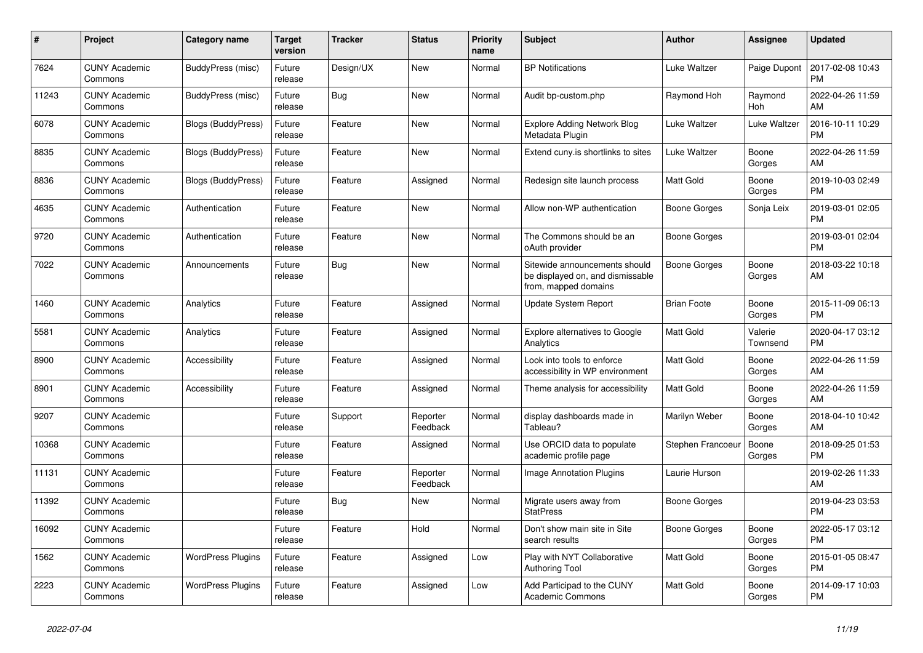| #     | <b>Project</b>                  | Category name             | Target<br>version | <b>Tracker</b> | <b>Status</b>        | Priority<br>name | <b>Subject</b>                                                                            | <b>Author</b>      | Assignee            | <b>Updated</b>                |
|-------|---------------------------------|---------------------------|-------------------|----------------|----------------------|------------------|-------------------------------------------------------------------------------------------|--------------------|---------------------|-------------------------------|
| 7624  | <b>CUNY Academic</b><br>Commons | BuddyPress (misc)         | Future<br>release | Design/UX      | New                  | Normal           | <b>BP Notifications</b>                                                                   | Luke Waltzer       | Paige Dupont        | 2017-02-08 10:43<br><b>PM</b> |
| 11243 | <b>CUNY Academic</b><br>Commons | BuddyPress (misc)         | Future<br>release | Bug            | New                  | Normal           | Audit bp-custom.php                                                                       | Raymond Hoh        | Raymond<br>Hoh      | 2022-04-26 11:59<br>AM        |
| 6078  | <b>CUNY Academic</b><br>Commons | <b>Blogs (BuddyPress)</b> | Future<br>release | Feature        | New                  | Normal           | Explore Adding Network Blog<br>Metadata Plugin                                            | Luke Waltzer       | Luke Waltzer        | 2016-10-11 10:29<br><b>PM</b> |
| 8835  | <b>CUNY Academic</b><br>Commons | <b>Blogs (BuddyPress)</b> | Future<br>release | Feature        | <b>New</b>           | Normal           | Extend cuny.is shortlinks to sites                                                        | Luke Waltzer       | Boone<br>Gorges     | 2022-04-26 11:59<br><b>AM</b> |
| 8836  | <b>CUNY Academic</b><br>Commons | Blogs (BuddyPress)        | Future<br>release | Feature        | Assigned             | Normal           | Redesign site launch process                                                              | Matt Gold          | Boone<br>Gorges     | 2019-10-03 02:49<br>PM.       |
| 4635  | <b>CUNY Academic</b><br>Commons | Authentication            | Future<br>release | Feature        | New                  | Normal           | Allow non-WP authentication                                                               | Boone Gorges       | Sonja Leix          | 2019-03-01 02:05<br><b>PM</b> |
| 9720  | <b>CUNY Academic</b><br>Commons | Authentication            | Future<br>release | Feature        | New                  | Normal           | The Commons should be an<br>oAuth provider                                                | Boone Gorges       |                     | 2019-03-01 02:04<br><b>PM</b> |
| 7022  | <b>CUNY Academic</b><br>Commons | Announcements             | Future<br>release | Bug            | <b>New</b>           | Normal           | Sitewide announcements should<br>be displayed on, and dismissable<br>from, mapped domains | Boone Gorges       | Boone<br>Gorges     | 2018-03-22 10:18<br>AM        |
| 1460  | <b>CUNY Academic</b><br>Commons | Analytics                 | Future<br>release | Feature        | Assigned             | Normal           | Update System Report                                                                      | <b>Brian Foote</b> | Boone<br>Gorges     | 2015-11-09 06:13<br><b>PM</b> |
| 5581  | <b>CUNY Academic</b><br>Commons | Analytics                 | Future<br>release | Feature        | Assigned             | Normal           | <b>Explore alternatives to Google</b><br>Analytics                                        | Matt Gold          | Valerie<br>Townsend | 2020-04-17 03:12<br><b>PM</b> |
| 8900  | <b>CUNY Academic</b><br>Commons | Accessibility             | Future<br>release | Feature        | Assigned             | Normal           | Look into tools to enforce<br>accessibility in WP environment                             | Matt Gold          | Boone<br>Gorges     | 2022-04-26 11:59<br>AM        |
| 8901  | <b>CUNY Academic</b><br>Commons | Accessibility             | Future<br>release | Feature        | Assigned             | Normal           | Theme analysis for accessibility                                                          | Matt Gold          | Boone<br>Gorges     | 2022-04-26 11:59<br>AM.       |
| 9207  | <b>CUNY Academic</b><br>Commons |                           | Future<br>release | Support        | Reporter<br>Feedback | Normal           | display dashboards made in<br>Tableau?                                                    | Marilyn Weber      | Boone<br>Gorges     | 2018-04-10 10:42<br>AM        |
| 10368 | <b>CUNY Academic</b><br>Commons |                           | Future<br>release | Feature        | Assigned             | Normal           | Use ORCID data to populate<br>academic profile page                                       | Stephen Francoeur  | Boone<br>Gorges     | 2018-09-25 01:53<br><b>PM</b> |
| 11131 | <b>CUNY Academic</b><br>Commons |                           | Future<br>release | Feature        | Reporter<br>Feedback | Normal           | Image Annotation Plugins                                                                  | Laurie Hurson      |                     | 2019-02-26 11:33<br><b>AM</b> |
| 11392 | <b>CUNY Academic</b><br>Commons |                           | Future<br>release | Bug            | <b>New</b>           | Normal           | Migrate users away from<br><b>StatPress</b>                                               | Boone Gorges       |                     | 2019-04-23 03:53<br><b>PM</b> |
| 16092 | <b>CUNY Academic</b><br>Commons |                           | Future<br>release | Feature        | Hold                 | Normal           | Don't show main site in Site<br>search results                                            | Boone Gorges       | Boone<br>Gorges     | 2022-05-17 03:12<br><b>PM</b> |
| 1562  | <b>CUNY Academic</b><br>Commons | <b>WordPress Plugins</b>  | Future<br>release | Feature        | Assigned             | Low              | Play with NYT Collaborative<br>Authoring Tool                                             | Matt Gold          | Boone<br>Gorges     | 2015-01-05 08:47<br><b>PM</b> |
| 2223  | <b>CUNY Academic</b><br>Commons | <b>WordPress Plugins</b>  | Future<br>release | Feature        | Assigned             | Low              | Add Participad to the CUNY<br>Academic Commons                                            | Matt Gold          | Boone<br>Gorges     | 2014-09-17 10:03<br><b>PM</b> |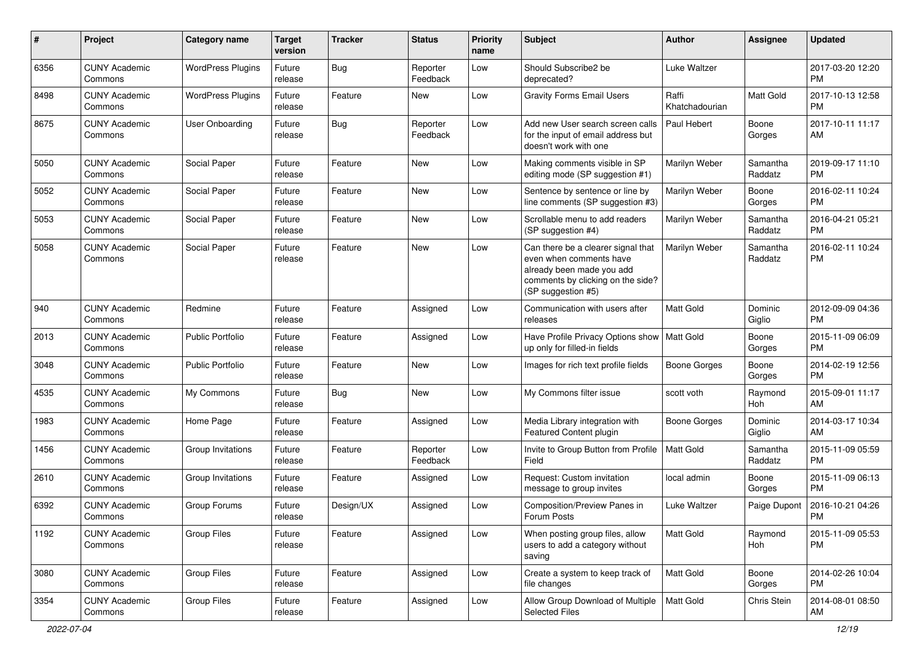| #    | Project                         | <b>Category name</b>     | <b>Target</b><br>version | <b>Tracker</b> | <b>Status</b>        | Priority<br>name | <b>Subject</b>                                                                                                                                        | Author                  | <b>Assignee</b>     | <b>Updated</b>                |
|------|---------------------------------|--------------------------|--------------------------|----------------|----------------------|------------------|-------------------------------------------------------------------------------------------------------------------------------------------------------|-------------------------|---------------------|-------------------------------|
| 6356 | <b>CUNY Academic</b><br>Commons | <b>WordPress Plugins</b> | Future<br>release        | <b>Bug</b>     | Reporter<br>Feedback | Low              | Should Subscribe2 be<br>deprecated?                                                                                                                   | Luke Waltzer            |                     | 2017-03-20 12:20<br>PM.       |
| 8498 | <b>CUNY Academic</b><br>Commons | <b>WordPress Plugins</b> | Future<br>release        | Feature        | New                  | Low              | <b>Gravity Forms Email Users</b>                                                                                                                      | Raffi<br>Khatchadourian | <b>Matt Gold</b>    | 2017-10-13 12:58<br><b>PM</b> |
| 8675 | <b>CUNY Academic</b><br>Commons | User Onboarding          | Future<br>release        | Bug            | Reporter<br>Feedback | Low              | Add new User search screen calls<br>for the input of email address but<br>doesn't work with one                                                       | Paul Hebert             | Boone<br>Gorges     | 2017-10-11 11:17<br>AM        |
| 5050 | <b>CUNY Academic</b><br>Commons | Social Paper             | Future<br>release        | Feature        | <b>New</b>           | Low              | Making comments visible in SP<br>editing mode (SP suggestion #1)                                                                                      | Marilyn Weber           | Samantha<br>Raddatz | 2019-09-17 11:10<br><b>PM</b> |
| 5052 | <b>CUNY Academic</b><br>Commons | Social Paper             | Future<br>release        | Feature        | <b>New</b>           | Low              | Sentence by sentence or line by<br>line comments (SP suggestion #3)                                                                                   | Marilyn Weber           | Boone<br>Gorges     | 2016-02-11 10:24<br><b>PM</b> |
| 5053 | <b>CUNY Academic</b><br>Commons | Social Paper             | Future<br>release        | Feature        | New                  | Low              | Scrollable menu to add readers<br>(SP suggestion #4)                                                                                                  | Marilyn Weber           | Samantha<br>Raddatz | 2016-04-21 05:21<br><b>PM</b> |
| 5058 | <b>CUNY Academic</b><br>Commons | Social Paper             | Future<br>release        | Feature        | New                  | Low              | Can there be a clearer signal that<br>even when comments have<br>already been made you add<br>comments by clicking on the side?<br>(SP suggestion #5) | Marilyn Weber           | Samantha<br>Raddatz | 2016-02-11 10:24<br><b>PM</b> |
| 940  | <b>CUNY Academic</b><br>Commons | Redmine                  | Future<br>release        | Feature        | Assigned             | Low              | Communication with users after<br>releases                                                                                                            | Matt Gold               | Dominic<br>Giglio   | 2012-09-09 04:36<br><b>PM</b> |
| 2013 | <b>CUNY Academic</b><br>Commons | <b>Public Portfolio</b>  | Future<br>release        | Feature        | Assigned             | Low              | Have Profile Privacy Options show<br>up only for filled-in fields                                                                                     | Matt Gold               | Boone<br>Gorges     | 2015-11-09 06:09<br><b>PM</b> |
| 3048 | <b>CUNY Academic</b><br>Commons | <b>Public Portfolio</b>  | Future<br>release        | Feature        | New                  | Low              | Images for rich text profile fields                                                                                                                   | Boone Gorges            | Boone<br>Gorges     | 2014-02-19 12:56<br><b>PM</b> |
| 4535 | <b>CUNY Academic</b><br>Commons | My Commons               | Future<br>release        | Bug            | New                  | Low              | My Commons filter issue                                                                                                                               | scott voth              | Raymond<br>Hoh      | 2015-09-01 11:17<br>AM        |
| 1983 | <b>CUNY Academic</b><br>Commons | Home Page                | Future<br>release        | Feature        | Assigned             | Low              | Media Library integration with<br>Featured Content plugin                                                                                             | <b>Boone Gorges</b>     | Dominic<br>Giglio   | 2014-03-17 10:34<br>AM.       |
| 1456 | <b>CUNY Academic</b><br>Commons | Group Invitations        | Future<br>release        | Feature        | Reporter<br>Feedback | Low              | Invite to Group Button from Profile<br>Field                                                                                                          | <b>Matt Gold</b>        | Samantha<br>Raddatz | 2015-11-09 05:59<br><b>PM</b> |
| 2610 | <b>CUNY Academic</b><br>Commons | Group Invitations        | Future<br>release        | Feature        | Assigned             | Low              | Request: Custom invitation<br>message to group invites                                                                                                | local admin             | Boone<br>Gorges     | 2015-11-09 06:13<br><b>PM</b> |
| 6392 | <b>CUNY Academic</b><br>Commons | Group Forums             | Future<br>release        | Design/UX      | Assigned             | Low              | Composition/Preview Panes in<br>Forum Posts                                                                                                           | Luke Waltzer            | Paige Dupont        | 2016-10-21 04:26<br><b>PM</b> |
| 1192 | <b>CUNY Academic</b><br>Commons | <b>Group Files</b>       | Future<br>release        | Feature        | Assigned             | Low              | When posting group files, allow<br>users to add a category without<br>saving                                                                          | Matt Gold               | Raymond<br>Hoh      | 2015-11-09 05:53<br><b>PM</b> |
| 3080 | <b>CUNY Academic</b><br>Commons | <b>Group Files</b>       | Future<br>release        | Feature        | Assigned             | Low              | Create a system to keep track of<br>file changes                                                                                                      | Matt Gold               | Boone<br>Gorges     | 2014-02-26 10:04<br>PM.       |
| 3354 | <b>CUNY Academic</b><br>Commons | <b>Group Files</b>       | Future<br>release        | Feature        | Assigned             | Low              | Allow Group Download of Multiple<br><b>Selected Files</b>                                                                                             | Matt Gold               | Chris Stein         | 2014-08-01 08:50<br>AM        |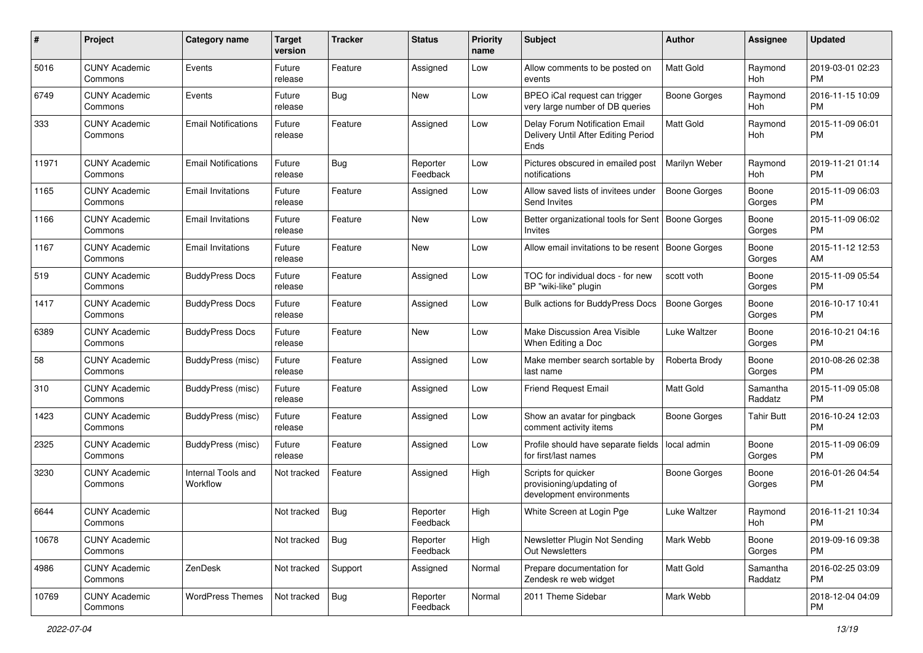| #     | Project                         | <b>Category name</b>           | <b>Target</b><br>version | <b>Tracker</b> | <b>Status</b>        | <b>Priority</b><br>name | <b>Subject</b>                                                                | Author              | Assignee            | <b>Updated</b>                |
|-------|---------------------------------|--------------------------------|--------------------------|----------------|----------------------|-------------------------|-------------------------------------------------------------------------------|---------------------|---------------------|-------------------------------|
| 5016  | <b>CUNY Academic</b><br>Commons | Events                         | Future<br>release        | Feature        | Assigned             | Low                     | Allow comments to be posted on<br>events                                      | <b>Matt Gold</b>    | Raymond<br>Hoh      | 2019-03-01 02:23<br><b>PM</b> |
| 6749  | <b>CUNY Academic</b><br>Commons | Events                         | Future<br>release        | Bug            | New                  | Low                     | BPEO iCal request can trigger<br>very large number of DB queries              | Boone Gorges        | Raymond<br>Hoh      | 2016-11-15 10:09<br><b>PM</b> |
| 333   | <b>CUNY Academic</b><br>Commons | <b>Email Notifications</b>     | Future<br>release        | Feature        | Assigned             | Low                     | Delay Forum Notification Email<br>Delivery Until After Editing Period<br>Ends | <b>Matt Gold</b>    | Raymond<br>Hoh      | 2015-11-09 06:01<br><b>PM</b> |
| 11971 | <b>CUNY Academic</b><br>Commons | <b>Email Notifications</b>     | Future<br>release        | Bug            | Reporter<br>Feedback | Low                     | Pictures obscured in emailed post<br>notifications                            | Marilyn Weber       | Raymond<br>Hoh      | 2019-11-21 01:14<br><b>PM</b> |
| 1165  | <b>CUNY Academic</b><br>Commons | <b>Email Invitations</b>       | Future<br>release        | Feature        | Assigned             | Low                     | Allow saved lists of invitees under<br>Send Invites                           | Boone Gorges        | Boone<br>Gorges     | 2015-11-09 06:03<br><b>PM</b> |
| 1166  | <b>CUNY Academic</b><br>Commons | <b>Email Invitations</b>       | Future<br>release        | Feature        | New                  | Low                     | Better organizational tools for Sent<br>Invites                               | Boone Gorges        | Boone<br>Gorges     | 2015-11-09 06:02<br><b>PM</b> |
| 1167  | <b>CUNY Academic</b><br>Commons | <b>Email Invitations</b>       | Future<br>release        | Feature        | New                  | Low                     | Allow email invitations to be resent                                          | Boone Gorges        | Boone<br>Gorges     | 2015-11-12 12:53<br>AM        |
| 519   | <b>CUNY Academic</b><br>Commons | <b>BuddyPress Docs</b>         | Future<br>release        | Feature        | Assigned             | Low                     | TOC for individual docs - for new<br>BP "wiki-like" plugin                    | scott voth          | Boone<br>Gorges     | 2015-11-09 05:54<br><b>PM</b> |
| 1417  | <b>CUNY Academic</b><br>Commons | <b>BuddyPress Docs</b>         | Future<br>release        | Feature        | Assigned             | Low                     | Bulk actions for BuddyPress Docs                                              | <b>Boone Gorges</b> | Boone<br>Gorges     | 2016-10-17 10:41<br><b>PM</b> |
| 6389  | <b>CUNY Academic</b><br>Commons | <b>BuddyPress Docs</b>         | Future<br>release        | Feature        | New                  | Low                     | Make Discussion Area Visible<br>When Editing a Doc                            | Luke Waltzer        | Boone<br>Gorges     | 2016-10-21 04:16<br><b>PM</b> |
| 58    | <b>CUNY Academic</b><br>Commons | BuddyPress (misc)              | Future<br>release        | Feature        | Assigned             | Low                     | Make member search sortable by<br>last name                                   | Roberta Brody       | Boone<br>Gorges     | 2010-08-26 02:38<br><b>PM</b> |
| 310   | <b>CUNY Academic</b><br>Commons | <b>BuddyPress</b> (misc)       | Future<br>release        | Feature        | Assigned             | Low                     | <b>Friend Request Email</b>                                                   | Matt Gold           | Samantha<br>Raddatz | 2015-11-09 05:08<br><b>PM</b> |
| 1423  | <b>CUNY Academic</b><br>Commons | BuddyPress (misc)              | Future<br>release        | Feature        | Assigned             | Low                     | Show an avatar for pingback<br>comment activity items                         | Boone Gorges        | Tahir Butt          | 2016-10-24 12:03<br><b>PM</b> |
| 2325  | <b>CUNY Academic</b><br>Commons | BuddyPress (misc)              | Future<br>release        | Feature        | Assigned             | Low                     | Profile should have separate fields<br>for first/last names                   | local admin         | Boone<br>Gorges     | 2015-11-09 06:09<br><b>PM</b> |
| 3230  | <b>CUNY Academic</b><br>Commons | Internal Tools and<br>Workflow | Not tracked              | Feature        | Assigned             | High                    | Scripts for quicker<br>provisioning/updating of<br>development environments   | <b>Boone Gorges</b> | Boone<br>Gorges     | 2016-01-26 04:54<br><b>PM</b> |
| 6644  | <b>CUNY Academic</b><br>Commons |                                | Not tracked              | <b>Bug</b>     | Reporter<br>Feedback | High                    | White Screen at Login Pge                                                     | Luke Waltzer        | Raymond<br>Hoh      | 2016-11-21 10:34<br>PM        |
| 10678 | <b>CUNY Academic</b><br>Commons |                                | Not tracked              | <b>Bug</b>     | Reporter<br>Feedback | High                    | Newsletter Plugin Not Sending<br>Out Newsletters                              | Mark Webb           | Boone<br>Gorges     | 2019-09-16 09:38<br><b>PM</b> |
| 4986  | <b>CUNY Academic</b><br>Commons | ZenDesk                        | Not tracked              | Support        | Assigned             | Normal                  | Prepare documentation for<br>Zendesk re web widget                            | Matt Gold           | Samantha<br>Raddatz | 2016-02-25 03:09<br><b>PM</b> |
| 10769 | <b>CUNY Academic</b><br>Commons | <b>WordPress Themes</b>        | Not tracked              | Bug            | Reporter<br>Feedback | Normal                  | 2011 Theme Sidebar                                                            | Mark Webb           |                     | 2018-12-04 04:09<br><b>PM</b> |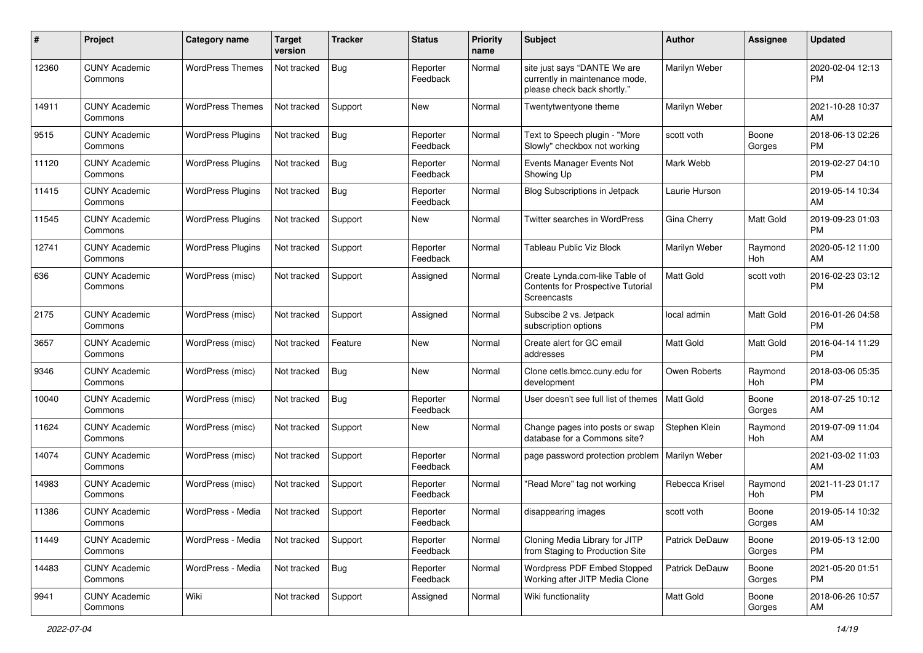| #     | Project                         | <b>Category name</b>     | <b>Target</b><br>version | <b>Tracker</b> | <b>Status</b>        | Priority<br>name | <b>Subject</b>                                                                                | <b>Author</b>    | <b>Assignee</b> | <b>Updated</b>                |
|-------|---------------------------------|--------------------------|--------------------------|----------------|----------------------|------------------|-----------------------------------------------------------------------------------------------|------------------|-----------------|-------------------------------|
| 12360 | <b>CUNY Academic</b><br>Commons | <b>WordPress Themes</b>  | Not tracked              | Bug            | Reporter<br>Feedback | Normal           | site just says "DANTE We are<br>currently in maintenance mode,<br>please check back shortly." | Marilyn Weber    |                 | 2020-02-04 12:13<br>PM        |
| 14911 | <b>CUNY Academic</b><br>Commons | <b>WordPress Themes</b>  | Not tracked              | Support        | New                  | Normal           | Twentytwentyone theme                                                                         | Marilyn Weber    |                 | 2021-10-28 10:37<br>AM        |
| 9515  | <b>CUNY Academic</b><br>Commons | <b>WordPress Plugins</b> | Not tracked              | <b>Bug</b>     | Reporter<br>Feedback | Normal           | Text to Speech plugin - "More<br>Slowly" checkbox not working                                 | scott voth       | Boone<br>Gorges | 2018-06-13 02:26<br><b>PM</b> |
| 11120 | <b>CUNY Academic</b><br>Commons | <b>WordPress Plugins</b> | Not tracked              | <b>Bug</b>     | Reporter<br>Feedback | Normal           | Events Manager Events Not<br>Showing Up                                                       | Mark Webb        |                 | 2019-02-27 04:10<br><b>PM</b> |
| 11415 | <b>CUNY Academic</b><br>Commons | <b>WordPress Plugins</b> | Not tracked              | Bug            | Reporter<br>Feedback | Normal           | Blog Subscriptions in Jetpack                                                                 | Laurie Hurson    |                 | 2019-05-14 10:34<br>AM        |
| 11545 | <b>CUNY Academic</b><br>Commons | <b>WordPress Plugins</b> | Not tracked              | Support        | New                  | Normal           | Twitter searches in WordPress                                                                 | Gina Cherry      | Matt Gold       | 2019-09-23 01:03<br><b>PM</b> |
| 12741 | <b>CUNY Academic</b><br>Commons | <b>WordPress Plugins</b> | Not tracked              | Support        | Reporter<br>Feedback | Normal           | Tableau Public Viz Block                                                                      | Marilyn Weber    | Raymond<br>Hoh  | 2020-05-12 11:00<br>AM        |
| 636   | <b>CUNY Academic</b><br>Commons | WordPress (misc)         | Not tracked              | Support        | Assigned             | Normal           | Create Lynda.com-like Table of<br>Contents for Prospective Tutorial<br>Screencasts            | Matt Gold        | scott voth      | 2016-02-23 03:12<br><b>PM</b> |
| 2175  | <b>CUNY Academic</b><br>Commons | WordPress (misc)         | Not tracked              | Support        | Assigned             | Normal           | Subscibe 2 vs. Jetpack<br>subscription options                                                | local admin      | Matt Gold       | 2016-01-26 04:58<br><b>PM</b> |
| 3657  | <b>CUNY Academic</b><br>Commons | WordPress (misc)         | Not tracked              | Feature        | New                  | Normal           | Create alert for GC email<br>addresses                                                        | <b>Matt Gold</b> | Matt Gold       | 2016-04-14 11:29<br><b>PM</b> |
| 9346  | <b>CUNY Academic</b><br>Commons | WordPress (misc)         | Not tracked              | <b>Bug</b>     | New                  | Normal           | Clone cetls.bmcc.cuny.edu for<br>development                                                  | Owen Roberts     | Raymond<br>Hoh  | 2018-03-06 05:35<br><b>PM</b> |
| 10040 | <b>CUNY Academic</b><br>Commons | WordPress (misc)         | Not tracked              | <b>Bug</b>     | Reporter<br>Feedback | Normal           | User doesn't see full list of themes                                                          | <b>Matt Gold</b> | Boone<br>Gorges | 2018-07-25 10:12<br>AM        |
| 11624 | <b>CUNY Academic</b><br>Commons | WordPress (misc)         | Not tracked              | Support        | New                  | Normal           | Change pages into posts or swap<br>database for a Commons site?                               | Stephen Klein    | Raymond<br>Hoh  | 2019-07-09 11:04<br>AM        |
| 14074 | <b>CUNY Academic</b><br>Commons | WordPress (misc)         | Not tracked              | Support        | Reporter<br>Feedback | Normal           | page password protection problem                                                              | Marilyn Weber    |                 | 2021-03-02 11:03<br>AM        |
| 14983 | <b>CUNY Academic</b><br>Commons | WordPress (misc)         | Not tracked              | Support        | Reporter<br>Feedback | Normal           | "Read More" tag not working                                                                   | Rebecca Krisel   | Raymond<br>Hoh  | 2021-11-23 01:17<br><b>PM</b> |
| 11386 | <b>CUNY Academic</b><br>Commons | WordPress - Media        | Not tracked              | Support        | Reporter<br>Feedback | Normal           | disappearing images                                                                           | scott voth       | Boone<br>Gorges | 2019-05-14 10:32<br>AM        |
| 11449 | <b>CUNY Academic</b><br>Commons | WordPress - Media        | Not tracked              | Support        | Reporter<br>Feedback | Normal           | Cloning Media Library for JITP<br>from Staging to Production Site                             | Patrick DeDauw   | Boone<br>Gorges | 2019-05-13 12:00<br>PM.       |
| 14483 | <b>CUNY Academic</b><br>Commons | WordPress - Media        | Not tracked              | Bug            | Reporter<br>Feedback | Normal           | Wordpress PDF Embed Stopped<br>Working after JITP Media Clone                                 | Patrick DeDauw   | Boone<br>Gorges | 2021-05-20 01:51<br><b>PM</b> |
| 9941  | <b>CUNY Academic</b><br>Commons | Wiki                     | Not tracked              | Support        | Assigned             | Normal           | Wiki functionality                                                                            | Matt Gold        | Boone<br>Gorges | 2018-06-26 10:57<br>AM        |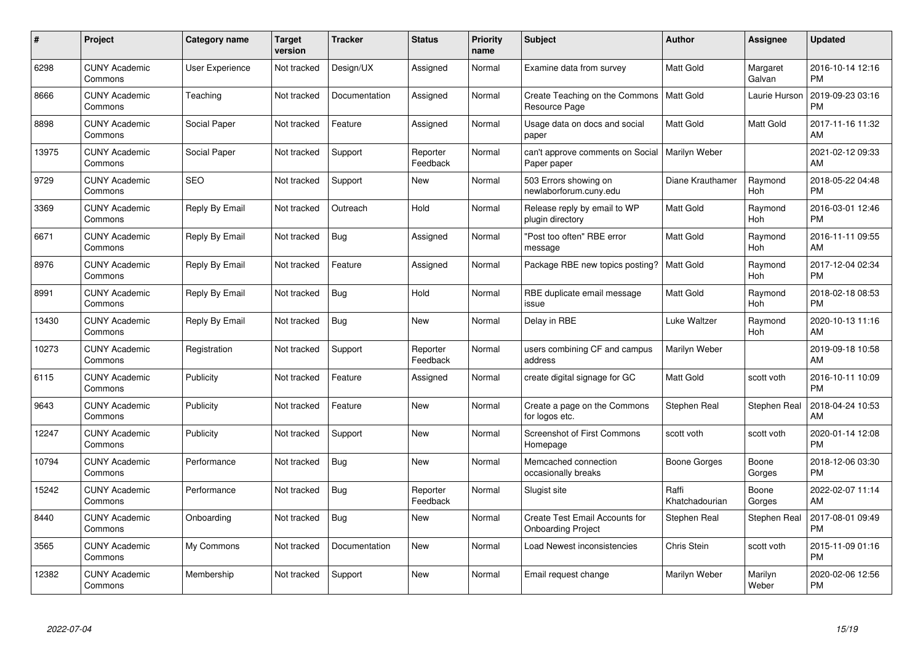| $\pmb{\#}$ | Project                         | <b>Category name</b>   | Target<br>version | <b>Tracker</b> | <b>Status</b>        | <b>Priority</b><br>name | <b>Subject</b>                                              | Author                  | <b>Assignee</b>     | <b>Updated</b>                |
|------------|---------------------------------|------------------------|-------------------|----------------|----------------------|-------------------------|-------------------------------------------------------------|-------------------------|---------------------|-------------------------------|
| 6298       | <b>CUNY Academic</b><br>Commons | <b>User Experience</b> | Not tracked       | Design/UX      | Assigned             | Normal                  | Examine data from survey                                    | <b>Matt Gold</b>        | Margaret<br>Galvan  | 2016-10-14 12:16<br><b>PM</b> |
| 8666       | <b>CUNY Academic</b><br>Commons | Teaching               | Not tracked       | Documentation  | Assigned             | Normal                  | Create Teaching on the Commons   Matt Gold<br>Resource Page |                         | Laurie Hurson       | 2019-09-23 03:16<br><b>PM</b> |
| 8898       | <b>CUNY Academic</b><br>Commons | Social Paper           | Not tracked       | Feature        | Assigned             | Normal                  | Usage data on docs and social<br>paper                      | <b>Matt Gold</b>        | <b>Matt Gold</b>    | 2017-11-16 11:32<br>AM        |
| 13975      | <b>CUNY Academic</b><br>Commons | Social Paper           | Not tracked       | Support        | Reporter<br>Feedback | Normal                  | can't approve comments on Social<br>Paper paper             | Marilyn Weber           |                     | 2021-02-12 09:33<br>AM        |
| 9729       | <b>CUNY Academic</b><br>Commons | <b>SEO</b>             | Not tracked       | Support        | <b>New</b>           | Normal                  | 503 Errors showing on<br>newlaborforum.cuny.edu             | Diane Krauthamer        | Raymond<br>Hoh      | 2018-05-22 04:48<br><b>PM</b> |
| 3369       | <b>CUNY Academic</b><br>Commons | Reply By Email         | Not tracked       | Outreach       | Hold                 | Normal                  | Release reply by email to WP<br>plugin directory            | <b>Matt Gold</b>        | Raymond<br>Hoh      | 2016-03-01 12:46<br><b>PM</b> |
| 6671       | <b>CUNY Academic</b><br>Commons | Reply By Email         | Not tracked       | <b>Bug</b>     | Assigned             | Normal                  | "Post too often" RBE error<br>message                       | Matt Gold               | Raymond<br>Hoh      | 2016-11-11 09:55<br>AM        |
| 8976       | <b>CUNY Academic</b><br>Commons | Reply By Email         | Not tracked       | Feature        | Assigned             | Normal                  | Package RBE new topics posting?   Matt Gold                 |                         | Raymond<br>Hoh      | 2017-12-04 02:34<br><b>PM</b> |
| 8991       | <b>CUNY Academic</b><br>Commons | Reply By Email         | Not tracked       | <b>Bug</b>     | Hold                 | Normal                  | RBE duplicate email message<br>issue                        | Matt Gold               | Raymond<br>Hoh      | 2018-02-18 08:53<br><b>PM</b> |
| 13430      | <b>CUNY Academic</b><br>Commons | Reply By Email         | Not tracked       | Bug            | <b>New</b>           | Normal                  | Delay in RBE                                                | Luke Waltzer            | Raymond<br>Hoh      | 2020-10-13 11:16<br>AM        |
| 10273      | <b>CUNY Academic</b><br>Commons | Registration           | Not tracked       | Support        | Reporter<br>Feedback | Normal                  | users combining CF and campus<br>address                    | Marilyn Weber           |                     | 2019-09-18 10:58<br>AM        |
| 6115       | <b>CUNY Academic</b><br>Commons | Publicity              | Not tracked       | Feature        | Assigned             | Normal                  | create digital signage for GC                               | Matt Gold               | scott voth          | 2016-10-11 10:09<br><b>PM</b> |
| 9643       | <b>CUNY Academic</b><br>Commons | Publicity              | Not tracked       | Feature        | New                  | Normal                  | Create a page on the Commons<br>for logos etc.              | Stephen Real            | <b>Stephen Real</b> | 2018-04-24 10:53<br>AM.       |
| 12247      | <b>CUNY Academic</b><br>Commons | Publicity              | Not tracked       | Support        | New                  | Normal                  | <b>Screenshot of First Commons</b><br>Homepage              | scott voth              | scott voth          | 2020-01-14 12:08<br><b>PM</b> |
| 10794      | <b>CUNY Academic</b><br>Commons | Performance            | Not tracked       | Bug            | New                  | Normal                  | Memcached connection<br>occasionally breaks                 | Boone Gorges            | Boone<br>Gorges     | 2018-12-06 03:30<br><b>PM</b> |
| 15242      | <b>CUNY Academic</b><br>Commons | Performance            | Not tracked       | Bug            | Reporter<br>Feedback | Normal                  | Slugist site                                                | Raffi<br>Khatchadourian | Boone<br>Gorges     | 2022-02-07 11:14<br>AM        |
| 8440       | <b>CUNY Academic</b><br>Commons | Onboarding             | Not tracked       | <b>Bug</b>     | New                  | Normal                  | Create Test Email Accounts for<br><b>Onboarding Project</b> | Stephen Real            | Stephen Real        | 2017-08-01 09:49<br><b>PM</b> |
| 3565       | <b>CUNY Academic</b><br>Commons | My Commons             | Not tracked       | Documentation  | New                  | Normal                  | Load Newest inconsistencies                                 | Chris Stein             | scott voth          | 2015-11-09 01:16<br><b>PM</b> |
| 12382      | <b>CUNY Academic</b><br>Commons | Membership             | Not tracked       | Support        | <b>New</b>           | Normal                  | Email request change                                        | Marilyn Weber           | Marilyn<br>Weber    | 2020-02-06 12:56<br>PM        |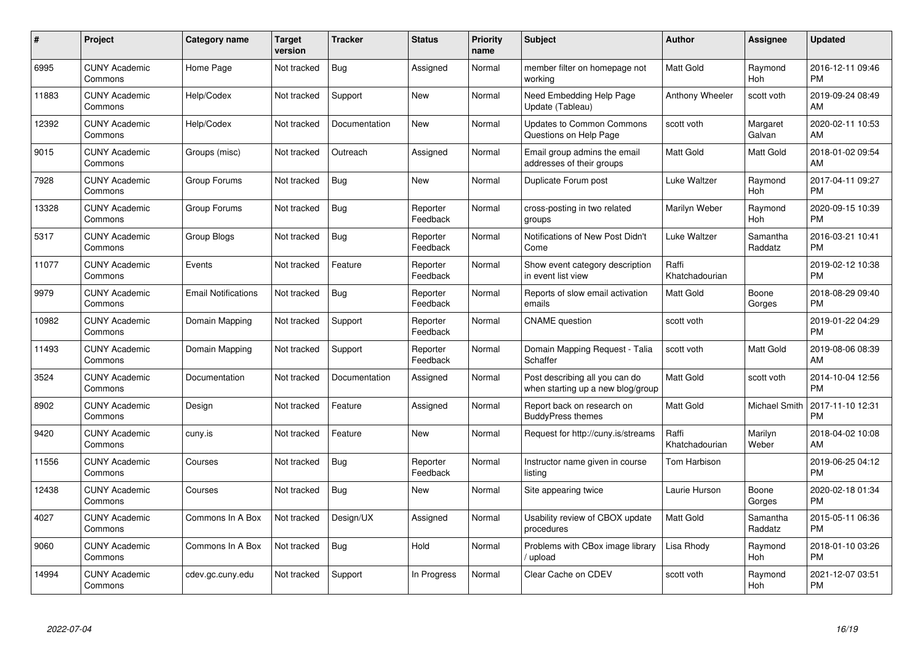| $\#$  | Project                         | <b>Category name</b>       | Target<br>version | <b>Tracker</b> | <b>Status</b>        | Priority<br>name | <b>Subject</b>                                                      | <b>Author</b>           | <b>Assignee</b>     | <b>Updated</b>                |
|-------|---------------------------------|----------------------------|-------------------|----------------|----------------------|------------------|---------------------------------------------------------------------|-------------------------|---------------------|-------------------------------|
| 6995  | <b>CUNY Academic</b><br>Commons | Home Page                  | Not tracked       | <b>Bug</b>     | Assigned             | Normal           | member filter on homepage not<br>working                            | <b>Matt Gold</b>        | Raymond<br>Hoh      | 2016-12-11 09:46<br><b>PM</b> |
| 11883 | <b>CUNY Academic</b><br>Commons | Help/Codex                 | Not tracked       | Support        | <b>New</b>           | Normal           | Need Embedding Help Page<br>Update (Tableau)                        | Anthony Wheeler         | scott voth          | 2019-09-24 08:49<br>AM        |
| 12392 | <b>CUNY Academic</b><br>Commons | Help/Codex                 | Not tracked       | Documentation  | <b>New</b>           | Normal           | <b>Updates to Common Commons</b><br>Questions on Help Page          | scott voth              | Margaret<br>Galvan  | 2020-02-11 10:53<br>AM        |
| 9015  | <b>CUNY Academic</b><br>Commons | Groups (misc)              | Not tracked       | Outreach       | Assigned             | Normal           | Email group admins the email<br>addresses of their groups           | <b>Matt Gold</b>        | Matt Gold           | 2018-01-02 09:54<br>AM        |
| 7928  | <b>CUNY Academic</b><br>Commons | Group Forums               | Not tracked       | Bug            | <b>New</b>           | Normal           | Duplicate Forum post                                                | Luke Waltzer            | Raymond<br>Hoh      | 2017-04-11 09:27<br><b>PM</b> |
| 13328 | <b>CUNY Academic</b><br>Commons | Group Forums               | Not tracked       | Bug            | Reporter<br>Feedback | Normal           | cross-posting in two related<br>groups                              | Marilyn Weber           | Raymond<br>Hoh      | 2020-09-15 10:39<br><b>PM</b> |
| 5317  | <b>CUNY Academic</b><br>Commons | Group Blogs                | Not tracked       | Bug            | Reporter<br>Feedback | Normal           | Notifications of New Post Didn't<br>Come                            | Luke Waltzer            | Samantha<br>Raddatz | 2016-03-21 10:41<br><b>PM</b> |
| 11077 | <b>CUNY Academic</b><br>Commons | Events                     | Not tracked       | Feature        | Reporter<br>Feedback | Normal           | Show event category description<br>in event list view               | Raffi<br>Khatchadourian |                     | 2019-02-12 10:38<br><b>PM</b> |
| 9979  | <b>CUNY Academic</b><br>Commons | <b>Email Notifications</b> | Not tracked       | Bug            | Reporter<br>Feedback | Normal           | Reports of slow email activation<br>emails                          | <b>Matt Gold</b>        | Boone<br>Gorges     | 2018-08-29 09:40<br><b>PM</b> |
| 10982 | <b>CUNY Academic</b><br>Commons | Domain Mapping             | Not tracked       | Support        | Reporter<br>Feedback | Normal           | <b>CNAME</b> question                                               | scott voth              |                     | 2019-01-22 04:29<br><b>PM</b> |
| 11493 | <b>CUNY Academic</b><br>Commons | Domain Mapping             | Not tracked       | Support        | Reporter<br>Feedback | Normal           | Domain Mapping Request - Talia<br>Schaffer                          | scott voth              | Matt Gold           | 2019-08-06 08:39<br>AM        |
| 3524  | <b>CUNY Academic</b><br>Commons | Documentation              | Not tracked       | Documentation  | Assigned             | Normal           | Post describing all you can do<br>when starting up a new blog/group | Matt Gold               | scott voth          | 2014-10-04 12:56<br><b>PM</b> |
| 8902  | <b>CUNY Academic</b><br>Commons | Design                     | Not tracked       | Feature        | Assigned             | Normal           | Report back on research on<br><b>BuddyPress themes</b>              | Matt Gold               | Michael Smith       | 2017-11-10 12:31<br><b>PM</b> |
| 9420  | <b>CUNY Academic</b><br>Commons | cuny.is                    | Not tracked       | Feature        | New                  | Normal           | Request for http://cuny.is/streams                                  | Raffi<br>Khatchadourian | Marilyn<br>Weber    | 2018-04-02 10:08<br>AM        |
| 11556 | <b>CUNY Academic</b><br>Commons | Courses                    | Not tracked       | <b>Bug</b>     | Reporter<br>Feedback | Normal           | Instructor name given in course<br>listing                          | Tom Harbison            |                     | 2019-06-25 04:12<br><b>PM</b> |
| 12438 | <b>CUNY Academic</b><br>Commons | Courses                    | Not tracked       | Bug            | New                  | Normal           | Site appearing twice                                                | Laurie Hurson           | Boone<br>Gorges     | 2020-02-18 01:34<br><b>PM</b> |
| 4027  | <b>CUNY Academic</b><br>Commons | Commons In A Box           | Not tracked       | Design/UX      | Assigned             | Normal           | Usability review of CBOX update<br>procedures                       | <b>Matt Gold</b>        | Samantha<br>Raddatz | 2015-05-11 06:36<br><b>PM</b> |
| 9060  | <b>CUNY Academic</b><br>Commons | Commons In A Box           | Not tracked       | Bug            | Hold                 | Normal           | Problems with CBox image library<br>/ upload                        | Lisa Rhody              | Raymond<br>Hoh      | 2018-01-10 03:26<br><b>PM</b> |
| 14994 | CUNY Academic<br>Commons        | cdev.gc.cuny.edu           | Not tracked       | Support        | In Progress          | Normal           | Clear Cache on CDEV                                                 | scott voth              | Raymond<br>Hoh      | 2021-12-07 03:51<br><b>PM</b> |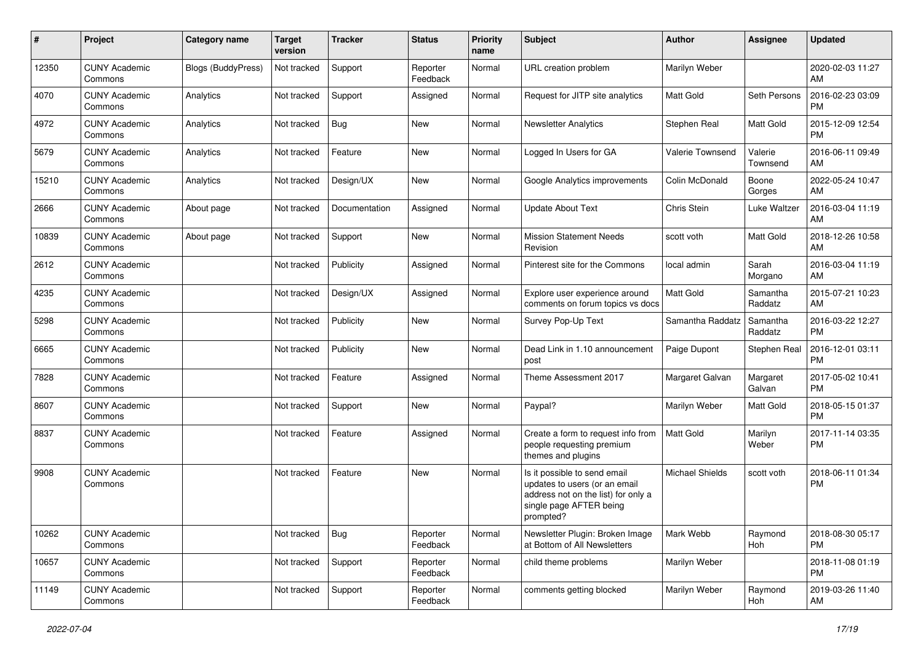| #     | Project                         | <b>Category name</b>      | <b>Target</b><br>version | <b>Tracker</b> | <b>Status</b>        | Priority<br>name | <b>Subject</b>                                                                                                                               | Author                 | <b>Assignee</b>     | <b>Updated</b>                |
|-------|---------------------------------|---------------------------|--------------------------|----------------|----------------------|------------------|----------------------------------------------------------------------------------------------------------------------------------------------|------------------------|---------------------|-------------------------------|
| 12350 | <b>CUNY Academic</b><br>Commons | <b>Blogs (BuddyPress)</b> | Not tracked              | Support        | Reporter<br>Feedback | Normal           | URL creation problem                                                                                                                         | Marilyn Weber          |                     | 2020-02-03 11:27<br>AM        |
| 4070  | <b>CUNY Academic</b><br>Commons | Analytics                 | Not tracked              | Support        | Assigned             | Normal           | Request for JITP site analytics                                                                                                              | <b>Matt Gold</b>       | Seth Persons        | 2016-02-23 03:09<br><b>PM</b> |
| 4972  | <b>CUNY Academic</b><br>Commons | Analytics                 | Not tracked              | Bug            | <b>New</b>           | Normal           | <b>Newsletter Analytics</b>                                                                                                                  | Stephen Real           | Matt Gold           | 2015-12-09 12:54<br><b>PM</b> |
| 5679  | <b>CUNY Academic</b><br>Commons | Analytics                 | Not tracked              | Feature        | <b>New</b>           | Normal           | Logged In Users for GA                                                                                                                       | Valerie Townsend       | Valerie<br>Townsend | 2016-06-11 09:49<br>AM        |
| 15210 | <b>CUNY Academic</b><br>Commons | Analytics                 | Not tracked              | Design/UX      | <b>New</b>           | Normal           | Google Analytics improvements                                                                                                                | Colin McDonald         | Boone<br>Gorges     | 2022-05-24 10:47<br>AM        |
| 2666  | <b>CUNY Academic</b><br>Commons | About page                | Not tracked              | Documentation  | Assigned             | Normal           | <b>Update About Text</b>                                                                                                                     | Chris Stein            | Luke Waltzer        | 2016-03-04 11:19<br>AM        |
| 10839 | <b>CUNY Academic</b><br>Commons | About page                | Not tracked              | Support        | <b>New</b>           | Normal           | <b>Mission Statement Needs</b><br>Revision                                                                                                   | scott voth             | Matt Gold           | 2018-12-26 10:58<br>AM        |
| 2612  | <b>CUNY Academic</b><br>Commons |                           | Not tracked              | Publicity      | Assigned             | Normal           | Pinterest site for the Commons                                                                                                               | local admin            | Sarah<br>Morgano    | 2016-03-04 11:19<br>AM        |
| 4235  | <b>CUNY Academic</b><br>Commons |                           | Not tracked              | Design/UX      | Assigned             | Normal           | Explore user experience around<br>comments on forum topics vs docs                                                                           | <b>Matt Gold</b>       | Samantha<br>Raddatz | 2015-07-21 10:23<br>AM        |
| 5298  | <b>CUNY Academic</b><br>Commons |                           | Not tracked              | Publicity      | <b>New</b>           | Normal           | Survey Pop-Up Text                                                                                                                           | Samantha Raddatz       | Samantha<br>Raddatz | 2016-03-22 12:27<br><b>PM</b> |
| 6665  | <b>CUNY Academic</b><br>Commons |                           | Not tracked              | Publicity      | <b>New</b>           | Normal           | Dead Link in 1.10 announcement<br>post                                                                                                       | Paige Dupont           | Stephen Real        | 2016-12-01 03:11<br><b>PM</b> |
| 7828  | <b>CUNY Academic</b><br>Commons |                           | Not tracked              | Feature        | Assigned             | Normal           | Theme Assessment 2017                                                                                                                        | Margaret Galvan        | Margaret<br>Galvan  | 2017-05-02 10:41<br><b>PM</b> |
| 8607  | <b>CUNY Academic</b><br>Commons |                           | Not tracked              | Support        | New                  | Normal           | Paypal?                                                                                                                                      | Marilyn Weber          | Matt Gold           | 2018-05-15 01:37<br><b>PM</b> |
| 8837  | <b>CUNY Academic</b><br>Commons |                           | Not tracked              | Feature        | Assigned             | Normal           | Create a form to request info from<br>people requesting premium<br>themes and plugins                                                        | <b>Matt Gold</b>       | Marilyn<br>Weber    | 2017-11-14 03:35<br><b>PM</b> |
| 9908  | <b>CUNY Academic</b><br>Commons |                           | Not tracked              | Feature        | New                  | Normal           | Is it possible to send email<br>updates to users (or an email<br>address not on the list) for only a<br>single page AFTER being<br>prompted? | <b>Michael Shields</b> | scott voth          | 2018-06-11 01:34<br><b>PM</b> |
| 10262 | <b>CUNY Academic</b><br>Commons |                           | Not tracked              | Bug            | Reporter<br>Feedback | Normal           | Newsletter Plugin: Broken Image<br>at Bottom of All Newsletters                                                                              | Mark Webb              | Raymond<br>Hoh      | 2018-08-30 05:17<br><b>PM</b> |
| 10657 | <b>CUNY Academic</b><br>Commons |                           | Not tracked              | Support        | Reporter<br>Feedback | Normal           | child theme problems                                                                                                                         | Marilyn Weber          |                     | 2018-11-08 01:19<br>PM        |
| 11149 | <b>CUNY Academic</b><br>Commons |                           | Not tracked              | Support        | Reporter<br>Feedback | Normal           | comments getting blocked                                                                                                                     | Marilyn Weber          | Raymond<br>Hoh      | 2019-03-26 11:40<br>AM        |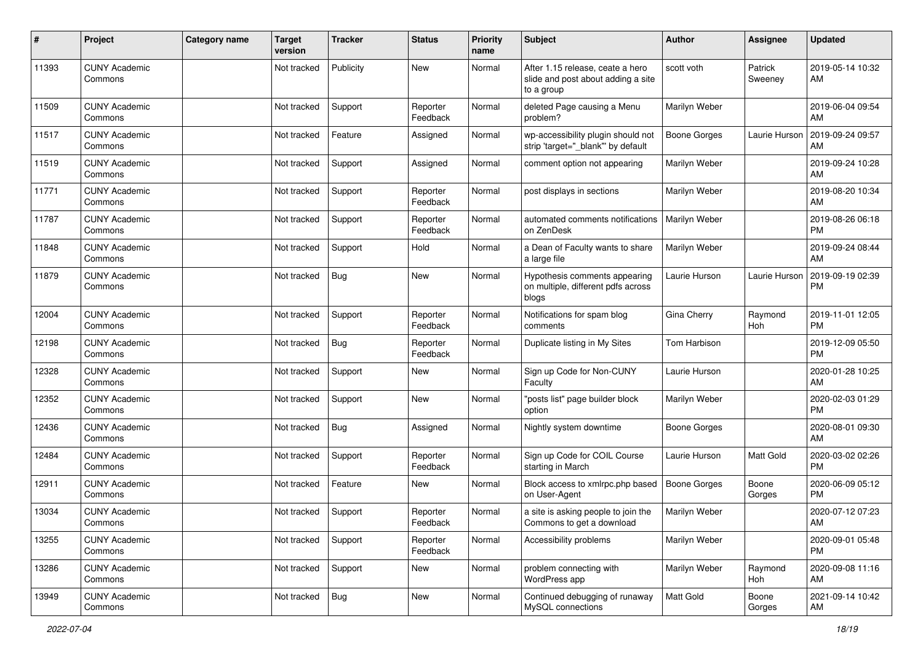| #     | Project                         | Category name | <b>Target</b><br>version | <b>Tracker</b> | <b>Status</b>        | <b>Priority</b><br>name | Subject                                                                              | Author              | <b>Assignee</b>    | <b>Updated</b>                |
|-------|---------------------------------|---------------|--------------------------|----------------|----------------------|-------------------------|--------------------------------------------------------------------------------------|---------------------|--------------------|-------------------------------|
| 11393 | <b>CUNY Academic</b><br>Commons |               | Not tracked              | Publicity      | <b>New</b>           | Normal                  | After 1.15 release, ceate a hero<br>slide and post about adding a site<br>to a group | scott voth          | Patrick<br>Sweeney | 2019-05-14 10:32<br>AM        |
| 11509 | <b>CUNY Academic</b><br>Commons |               | Not tracked              | Support        | Reporter<br>Feedback | Normal                  | deleted Page causing a Menu<br>problem?                                              | Marilyn Weber       |                    | 2019-06-04 09:54<br>AM        |
| 11517 | <b>CUNY Academic</b><br>Commons |               | Not tracked              | Feature        | Assigned             | Normal                  | wp-accessibility plugin should not<br>strip 'target="_blank" by default              | <b>Boone Gorges</b> | Laurie Hurson      | 2019-09-24 09:57<br>AM        |
| 11519 | <b>CUNY Academic</b><br>Commons |               | Not tracked              | Support        | Assigned             | Normal                  | comment option not appearing                                                         | Marilyn Weber       |                    | 2019-09-24 10:28<br>AM        |
| 11771 | <b>CUNY Academic</b><br>Commons |               | Not tracked              | Support        | Reporter<br>Feedback | Normal                  | post displays in sections                                                            | Marilyn Weber       |                    | 2019-08-20 10:34<br>AM        |
| 11787 | <b>CUNY Academic</b><br>Commons |               | Not tracked              | Support        | Reporter<br>Feedback | Normal                  | automated comments notifications<br>on ZenDesk                                       | Marilyn Weber       |                    | 2019-08-26 06:18<br><b>PM</b> |
| 11848 | <b>CUNY Academic</b><br>Commons |               | Not tracked              | Support        | Hold                 | Normal                  | a Dean of Faculty wants to share<br>a large file                                     | Marilyn Weber       |                    | 2019-09-24 08:44<br>AM        |
| 11879 | <b>CUNY Academic</b><br>Commons |               | Not tracked              | Bug            | New                  | Normal                  | Hypothesis comments appearing<br>on multiple, different pdfs across<br>blogs         | Laurie Hurson       | Laurie Hurson      | 2019-09-19 02:39<br><b>PM</b> |
| 12004 | <b>CUNY Academic</b><br>Commons |               | Not tracked              | Support        | Reporter<br>Feedback | Normal                  | Notifications for spam blog<br>comments                                              | Gina Cherry         | Raymond<br>Hoh     | 2019-11-01 12:05<br><b>PM</b> |
| 12198 | <b>CUNY Academic</b><br>Commons |               | Not tracked              | <b>Bug</b>     | Reporter<br>Feedback | Normal                  | Duplicate listing in My Sites                                                        | Tom Harbison        |                    | 2019-12-09 05:50<br><b>PM</b> |
| 12328 | <b>CUNY Academic</b><br>Commons |               | Not tracked              | Support        | New                  | Normal                  | Sign up Code for Non-CUNY<br>Faculty                                                 | Laurie Hurson       |                    | 2020-01-28 10:25<br>AM        |
| 12352 | <b>CUNY Academic</b><br>Commons |               | Not tracked              | Support        | New                  | Normal                  | 'posts list" page builder block<br>option                                            | Marilyn Weber       |                    | 2020-02-03 01:29<br><b>PM</b> |
| 12436 | <b>CUNY Academic</b><br>Commons |               | Not tracked              | Bug            | Assigned             | Normal                  | Nightly system downtime                                                              | Boone Gorges        |                    | 2020-08-01 09:30<br>AM        |
| 12484 | <b>CUNY Academic</b><br>Commons |               | Not tracked              | Support        | Reporter<br>Feedback | Normal                  | Sign up Code for COIL Course<br>starting in March                                    | Laurie Hurson       | Matt Gold          | 2020-03-02 02:26<br><b>PM</b> |
| 12911 | <b>CUNY Academic</b><br>Commons |               | Not tracked              | Feature        | New                  | Normal                  | Block access to xmlrpc.php based<br>on User-Agent                                    | <b>Boone Gorges</b> | Boone<br>Gorges    | 2020-06-09 05:12<br><b>PM</b> |
| 13034 | <b>CUNY Academic</b><br>Commons |               | Not tracked              | Support        | Reporter<br>Feedback | Normal                  | a site is asking people to join the<br>Commons to get a download                     | Marilyn Weber       |                    | 2020-07-12 07:23<br>AM        |
| 13255 | <b>CUNY Academic</b><br>Commons |               | Not tracked              | Support        | Reporter<br>Feedback | Normal                  | Accessibility problems                                                               | Marilyn Weber       |                    | 2020-09-01 05:48<br><b>PM</b> |
| 13286 | <b>CUNY Academic</b><br>Commons |               | Not tracked              | Support        | New                  | Normal                  | problem connecting with<br>WordPress app                                             | Marilyn Weber       | Raymond<br>Hoh     | 2020-09-08 11:16<br>AM        |
| 13949 | <b>CUNY Academic</b><br>Commons |               | Not tracked              | Bug            | New                  | Normal                  | Continued debugging of runaway<br>MySQL connections                                  | Matt Gold           | Boone<br>Gorges    | 2021-09-14 10:42<br>AM        |